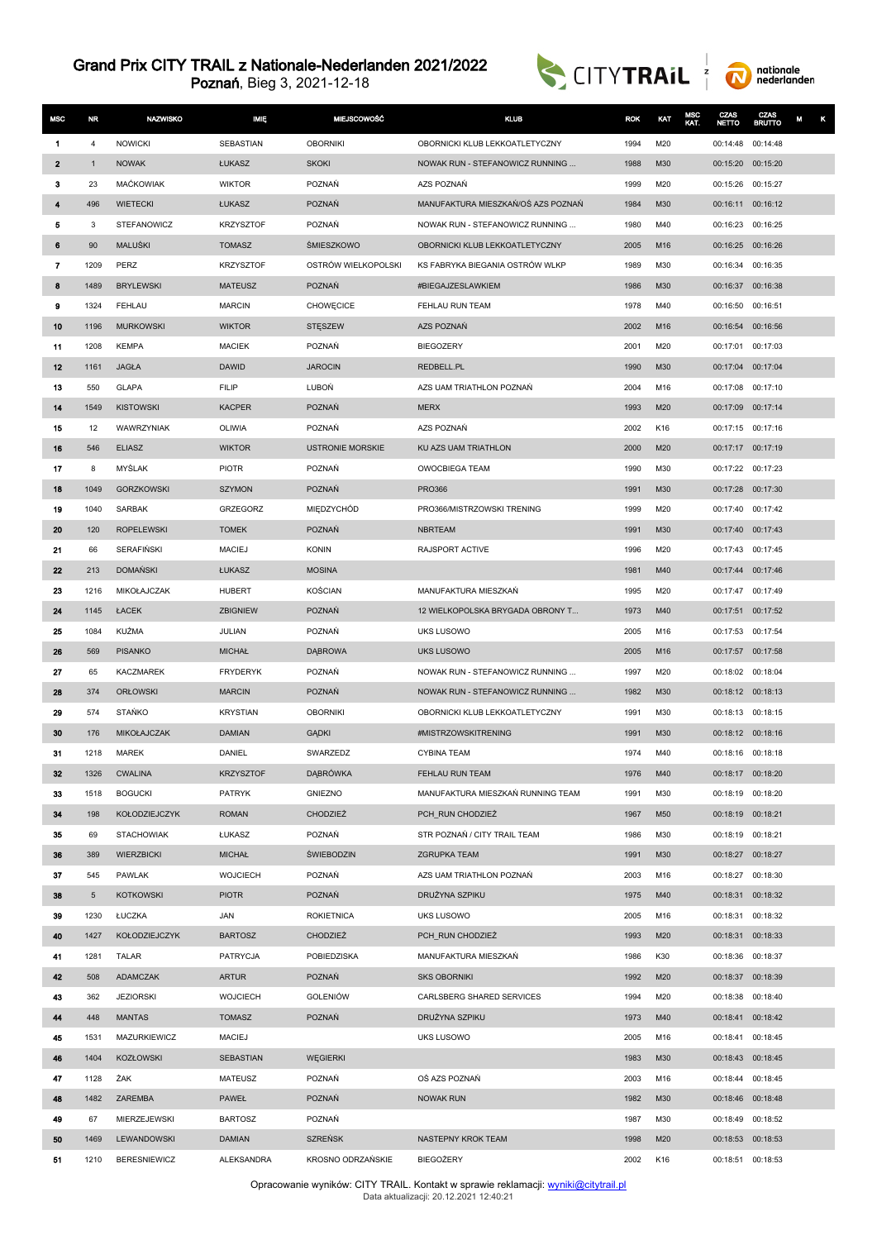



| <b>MSC</b>     | NR.          | <b>NAZWISKO</b>                        | IMIĘ                              | <b>MIEJSCOWOŚĆ</b>                | <b>KLUB</b>                                          | <b>ROK</b>   | KAT        | <b>MSC</b><br>KAT. | CZAS<br><b>NETTO</b>                   | CZAS<br><b>BRUTTO</b> | M<br>κ |
|----------------|--------------|----------------------------------------|-----------------------------------|-----------------------------------|------------------------------------------------------|--------------|------------|--------------------|----------------------------------------|-----------------------|--------|
| -1             | 4            | <b>NOWICKI</b>                         | SEBASTIAN                         | <b>OBORNIKI</b>                   | OBORNICKI KLUB LEKKOATLETYCZNY                       | 1994         | M20        |                    | 00:14:48 00:14:48                      |                       |        |
| $\mathbf{2}$   | $\mathbf{1}$ | <b>NOWAK</b>                           | ŁUKASZ                            | <b>SKOKI</b>                      | NOWAK RUN - STEFANOWICZ RUNNING                      | 1988         | M30        |                    | 00:15:20 00:15:20                      |                       |        |
| з              | 23           | <b>MACKOWIAK</b>                       | <b>WIKTOR</b>                     | POZNAŃ                            | AZS POZNAŃ                                           | 1999         | M20        |                    | 00:15:26                               | 00:15:27              |        |
| 4              | 496          | <b>WIETECKI</b>                        | ŁUKASZ                            | POZNAŃ                            | MANUFAKTURA MIESZKAŃ/OŚ AZS POZNAŃ                   | 1984         | M30        |                    | 00:16:11 00:16:12                      |                       |        |
| 5              | 3            | <b>STEFANOWICZ</b>                     | <b>KRZYSZTOF</b>                  | POZNAŃ                            | NOWAK RUN - STEFANOWICZ RUNNING                      | 1980         | M40        |                    | 00:16:23                               | 00:16:25              |        |
| 6              | 90           | MALUŚKI                                | <b>TOMASZ</b>                     | <b>SMIESZKOWO</b>                 | OBORNICKI KLUB LEKKOATLETYCZNY                       | 2005         | M16        |                    | 00:16:25 00:16:26                      |                       |        |
| $\overline{7}$ | 1209         | PERZ                                   | <b>KRZYSZTOF</b>                  | OSTRÓW WIELKOPOLSKI               | KS FABRYKA BIEGANIA OSTRÓW WLKP                      | 1989         | M30        |                    | 00:16:34                               | 00:16:35              |        |
| 8              | 1489         | <b>BRYLEWSKI</b>                       | <b>MATEUSZ</b>                    | <b>POZNAŃ</b>                     | #BIEGAJZESLAWKIEM                                    | 1986         | M30        |                    | 00:16:37                               | 00:16:38              |        |
| 9              | 1324         | FEHLAU                                 | <b>MARCIN</b>                     | <b>CHOWECICE</b>                  | FEHLAU RUN TEAM                                      | 1978         | M40        |                    | 00:16:50                               | 00:16:51              |        |
| 10             | 1196         | <b>MURKOWSKI</b>                       | <b>WIKTOR</b>                     | <b>STĘSZEW</b>                    | AZS POZNAŃ                                           | 2002         | M16        |                    | 00:16:54                               | 00:16:56              |        |
| 11             | 1208         | <b>KEMPA</b>                           | <b>MACIEK</b>                     | POZNAŃ                            | <b>BIEGOZERY</b>                                     | 2001         | M20        |                    | 00:17:01 00:17:03                      |                       |        |
| 12             | 1161         | <b>JAGŁA</b>                           | <b>DAWID</b>                      | <b>JAROCIN</b>                    | REDBELL.PL                                           | 1990         | M30        |                    | 00:17:04                               | 00:17:04              |        |
| 13             | 550          | <b>GLAPA</b>                           | <b>FILIP</b>                      | LUBOŃ                             | AZS UAM TRIATHLON POZNAŃ                             | 2004         | M16        |                    | 00:17:08                               | 00:17:10              |        |
| 14             | 1549         | <b>KISTOWSKI</b>                       | <b>KACPER</b>                     | POZNAŃ                            | <b>MERX</b>                                          | 1993         | M20        |                    | 00:17:09 00:17:14                      |                       |        |
| 15             | 12           | WAWRZYNIAK                             | OLIWIA                            | POZNAŃ                            | AZS POZNAŃ                                           | 2002         | K16        |                    | 00:17:15 00:17:16                      |                       |        |
| 16             | 546          | <b>ELIASZ</b>                          | <b>WIKTOR</b>                     | <b>USTRONIE MORSKIE</b>           | KU AZS UAM TRIATHLON                                 | 2000         | M20        |                    | 00:17:17 00:17:19                      |                       |        |
| 17             | 8            | <b>MYŚLAK</b>                          | <b>PIOTR</b>                      | POZNAŃ                            | <b>OWOCBIEGA TEAM</b>                                | 1990         | M30        |                    | 00:17:22 00:17:23                      |                       |        |
| 18             | 1049         | <b>GORZKOWSKI</b>                      | <b>SZYMON</b>                     | <b>POZNAŃ</b>                     | <b>PRO366</b>                                        | 1991         | M30        |                    | 00:17:28 00:17:30                      |                       |        |
| 19             | 1040         | SARBAK                                 | <b>GRZEGORZ</b>                   | MIEDZYCHÓD                        | PRO366/MISTRZOWSKI TRENING                           | 1999         | M20        |                    | 00:17:40                               | 00:17:42              |        |
| 20             | 120          | <b>ROPELEWSKI</b>                      | <b>TOMEK</b>                      | POZNAŃ                            | <b>NBRTEAM</b>                                       | 1991         | M30        |                    | 00:17:40 00:17:43                      |                       |        |
| 21             | 66           | SERAFIŃSKI                             | <b>MACIEJ</b>                     | <b>KONIN</b>                      | RAJSPORT ACTIVE                                      | 1996         | M20        |                    | 00:17:43 00:17:45                      |                       |        |
| 22             | 213          | <b>DOMAŃSKI</b>                        | ŁUKASZ                            | <b>MOSINA</b>                     |                                                      | 1981         | M40        |                    | 00:17:44                               | 00:17:46              |        |
| 23             | 1216         | MIKOŁAJCZAK                            | <b>HUBERT</b>                     | <b>KOŚCIAN</b>                    | MANUFAKTURA MIESZKAŃ                                 | 1995         | M20        |                    | 00:17:47                               | 00:17:49              |        |
| 24             | 1145         | ŁACEK                                  | <b>ZBIGNIEW</b>                   | POZNAŃ                            | 12 WIELKOPOLSKA BRYGADA OBRONY T                     | 1973         | M40        |                    | 00:17:51 00:17:52                      |                       |        |
| 25             | 1084         | KUŹMA                                  | JULIAN                            | POZNAŃ                            | UKS LUSOWO                                           | 2005         | M16        |                    | 00:17:53                               | 00:17:54              |        |
| 26             | 569          | <b>PISANKO</b>                         | <b>MICHAŁ</b>                     | <b>DABROWA</b>                    | <b>UKS LUSOWO</b>                                    | 2005         | M16        |                    | 00:17:57                               | 00:17:58              |        |
| 27             | 65           | <b>KACZMAREK</b>                       | <b>FRYDERYK</b>                   | POZNAŃ                            | NOWAK RUN - STEFANOWICZ RUNNING                      | 1997         | M20        |                    | 00:18:02 00:18:04                      |                       |        |
| 28             | 374          | <b>ORŁOWSKI</b>                        | <b>MARCIN</b>                     | <b>POZNAŃ</b>                     | NOWAK RUN - STEFANOWICZ RUNNING                      | 1982         | M30        |                    | 00:18:12 00:18:13                      |                       |        |
| 29             | 574          | <b>STAŃKO</b>                          | <b>KRYSTIAN</b>                   | <b>OBORNIKI</b>                   | OBORNICKI KLUB LEKKOATLETYCZNY                       | 1991         | M30        |                    | 00:18:13 00:18:15                      |                       |        |
| 30             | 176          | MIKOŁAJCZAK                            | <b>DAMIAN</b>                     | <b>GADKI</b>                      | #MISTRZOWSKITRENING                                  | 1991         | M30        |                    | 00:18:12 00:18:16                      |                       |        |
| 31             | 1218         | MAREK                                  | DANIEL                            | SWARZEDZ                          | <b>CYBINA TEAM</b>                                   | 1974         | M40        |                    | 00:18:16 00:18:18                      |                       |        |
| 32             | 1326         | <b>CWALINA</b>                         | <b>KRZYSZTOF</b><br><b>PATRYK</b> | <b>DABRÓWKA</b>                   | FEHLAU RUN TEAM<br>MANUFAKTURA MIESZKAŃ RUNNING TEAM | 1976         | M40        |                    | 00:18:17 00:18:20<br>00:18:19 00:18:20 |                       |        |
| 33             | 1518         | <b>BOGUCKI</b>                         |                                   | <b>GNIEZNO</b><br><b>CHODZIEŻ</b> | PCH RUN CHODZIEŻ                                     | 1991         | M30<br>M50 |                    |                                        |                       |        |
| 34<br>35       | 198          | KOŁODZIEJCZYK                          | <b>ROMAN</b><br>ŁUKASZ            | POZNAŃ                            | STR POZNAŃ / CITY TRAIL TEAM                         | 1967<br>1986 | M30        |                    | 00:18:19 00:18:21<br>00:18:19 00:18:21 |                       |        |
| 36             | 69<br>389    | <b>STACHOWIAK</b><br><b>WIERZBICKI</b> | <b>MICHAŁ</b>                     | ŚWIEBODZIN                        | <b>ZGRUPKA TEAM</b>                                  | 1991         | M30        |                    | 00:18:27 00:18:27                      |                       |        |
| 37             | 545          | PAWLAK                                 | <b>WOJCIECH</b>                   | POZNAŃ                            | AZS UAM TRIATHLON POZNAŃ                             | 2003         | M16        |                    | 00:18:27 00:18:30                      |                       |        |
| 38             | 5            | <b>KOTKOWSKI</b>                       | <b>PIOTR</b>                      | <b>POZNAŃ</b>                     | DRUŻYNA SZPIKU                                       | 1975         | M40        |                    | 00:18:31                               | 00:18:32              |        |
| 39             | 1230         | ŁUCZKA                                 | JAN                               | <b>ROKIETNICA</b>                 | <b>UKS LUSOWO</b>                                    | 2005         | M16        |                    | 00:18:31 00:18:32                      |                       |        |
| 40             | 1427         | KOŁODZIEJCZYK                          | <b>BARTOSZ</b>                    | <b>CHODZIEŻ</b>                   | PCH_RUN CHODZIEŻ                                     | 1993         | M20        |                    | 00:18:31 00:18:33                      |                       |        |
| 41             | 1281         | TALAR                                  | PATRYCJA                          | POBIEDZISKA                       | MANUFAKTURA MIESZKAŃ                                 | 1986         | K30        |                    | 00:18:36 00:18:37                      |                       |        |
| 42             | 508          | ADAMCZAK                               | <b>ARTUR</b>                      | POZNAŃ                            | <b>SKS OBORNIKI</b>                                  | 1992         | M20        |                    | 00:18:37 00:18:39                      |                       |        |
| 43             | 362          | <b>JEZIORSKI</b>                       | <b>WOJCIECH</b>                   | <b>GOLENIÓW</b>                   | CARLSBERG SHARED SERVICES                            | 1994         | M20        |                    | 00:18:38 00:18:40                      |                       |        |
| 44             | 448          | <b>MANTAS</b>                          | <b>TOMASZ</b>                     | POZNAŃ                            | DRUŻYNA SZPIKU                                       | 1973         | M40        |                    | 00:18:41 00:18:42                      |                       |        |
| 45             | 1531         | MAZURKIEWICZ                           | <b>MACIEJ</b>                     |                                   | UKS LUSOWO                                           | 2005         | M16        |                    | 00:18:41 00:18:45                      |                       |        |
| 46             | 1404         | <b>KOZŁOWSKI</b>                       | SEBASTIAN                         | <b>WEGIERKI</b>                   |                                                      | 1983         | M30        |                    | 00:18:43 00:18:45                      |                       |        |
| 47             | 1128         | ŻAK                                    | MATEUSZ                           | POZNAŃ                            | OŚ AZS POZNAŃ                                        | 2003         | M16        |                    | 00:18:44 00:18:45                      |                       |        |
| 48             | 1482         | ZAREMBA                                | PAWEŁ                             | POZNAŃ                            | <b>NOWAK RUN</b>                                     | 1982         | M30        |                    | 00:18:46 00:18:48                      |                       |        |
| 49             | 67           | MIERZEJEWSKI                           | <b>BARTOSZ</b>                    | POZNAŃ                            |                                                      | 1987         | M30        |                    | 00:18:49 00:18:52                      |                       |        |
| 50             | 1469         | LEWANDOWSKI                            | <b>DAMIAN</b>                     | <b>SZREŃSK</b>                    | NASTEPNY KROK TEAM                                   | 1998         | M20        |                    | 00:18:53 00:18:53                      |                       |        |
| 51             | 1210         | <b>BERESNIEWICZ</b>                    | ALEKSANDRA                        | KROSNO ODRZAŃSKIE                 | BIEGOŻERY                                            | 2002         | K16        |                    | 00:18:51 00:18:53                      |                       |        |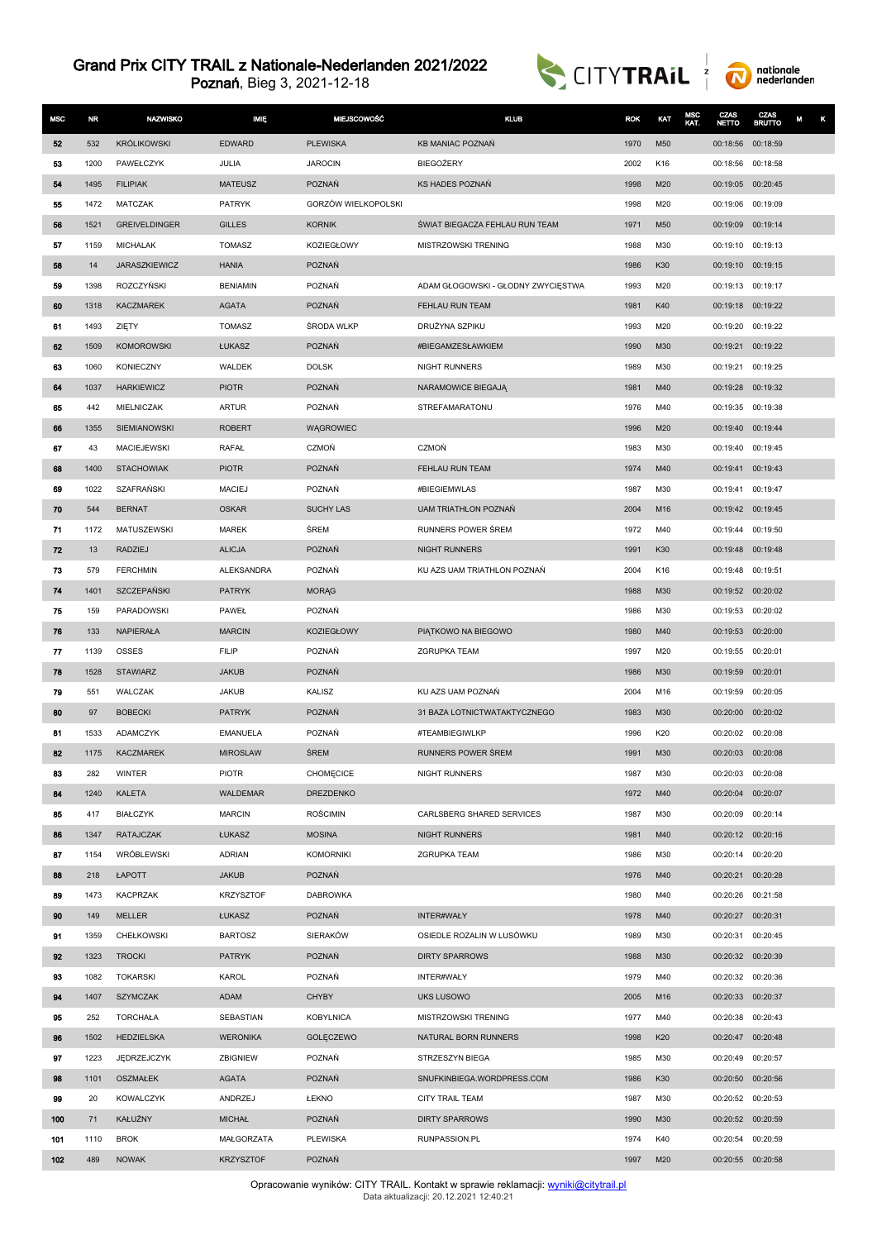



| <b>MSC</b> | <b>NR</b> | <b>NAZWISKO</b>      | <b>MIĘ</b>       | <b>MIEJSCOWOŚĆ</b>  | <b>KLUB</b>                        | <b>ROK</b> | KAT | MSC<br>KAT. | CZAS<br><b>NETTO</b> | CZAS<br><b>BRUTTO</b> | κ<br>М |
|------------|-----------|----------------------|------------------|---------------------|------------------------------------|------------|-----|-------------|----------------------|-----------------------|--------|
| 52         | 532       | <b>KRÓLIKOWSKI</b>   | <b>EDWARD</b>    | <b>PLEWISKA</b>     | <b>KB MANIAC POZNAŃ</b>            | 1970       | M50 |             | 00:18:56             | 00:18:59              |        |
| 53         | 1200      | PAWEŁCZYK            | JULIA            | <b>JAROCIN</b>      | <b>BIEGOŻERY</b>                   | 2002       | K16 |             | 00:18:56             | 00:18:58              |        |
| 54         | 1495      | <b>FILIPIAK</b>      | <b>MATEUSZ</b>   | <b>POZNAŃ</b>       | KS HADES POZNAŃ                    | 1998       | M20 |             | 00:19:05 00:20:45    |                       |        |
| 55         | 1472      | MATCZAK              | <b>PATRYK</b>    | GORZÓW WIELKOPOLSKI |                                    | 1998       | M20 |             | 00:19:06 00:19:09    |                       |        |
| 56         | 1521      | GREIVELDINGER        | <b>GILLES</b>    | <b>KORNIK</b>       | ŚWIAT BIEGACZA FEHLAU RUN TEAM     | 1971       | M50 |             | 00:19:09             | 00:19:14              |        |
| 57         | 1159      | <b>MICHALAK</b>      | <b>TOMASZ</b>    | <b>KOZIEGŁOWY</b>   | MISTRZOWSKI TRENING                | 1988       | M30 |             | 00:19:10             | 00:19:13              |        |
| 58         | 14        | <b>JARASZKIEWICZ</b> | <b>HANIA</b>     | <b>POZNAŃ</b>       |                                    | 1986       | K30 |             | 00:19:10             | 00:19:15              |        |
| 59         | 1398      | ROZCZYŃSKI           | <b>BENIAMIN</b>  | POZNAŃ              | ADAM GŁOGOWSKI - GŁODNY ZWYCIĘSTWA | 1993       | M20 |             | 00:19:13             | 00:19:17              |        |
| 60         | 1318      | <b>KACZMAREK</b>     | <b>AGATA</b>     | POZNAŃ              | FEHLAU RUN TEAM                    | 1981       | K40 |             | 00:19:18 00:19:22    |                       |        |
| 61         | 1493      | ZIĘTY                | TOMASZ           | ŚRODA WLKP          | DRUŻYNA SZPIKU                     | 1993       | M20 |             | 00:19:20             | 00:19:22              |        |
| 62         | 1509      | <b>KOMOROWSKI</b>    | ŁUKASZ           | POZNAŃ              | #BIEGAMZESŁAWKIEM                  | 1990       | M30 |             | 00:19:21             | 00:19:22              |        |
| 63         | 1060      | <b>KONIECZNY</b>     | <b>WALDEK</b>    | <b>DOLSK</b>        | <b>NIGHT RUNNERS</b>               | 1989       | M30 |             | 00:19:21             | 00:19:25              |        |
| 64         | 1037      | <b>HARKIEWICZ</b>    | <b>PIOTR</b>     | <b>POZNAŃ</b>       | NARAMOWICE BIEGAJĄ                 | 1981       | M40 |             | 00:19:28             | 00:19:32              |        |
| 65         | 442       | MIELNICZAK           | <b>ARTUR</b>     | POZNAŃ              | STREFAMARATONU                     | 1976       | M40 |             | 00:19:35 00:19:38    |                       |        |
| 66         | 1355      | SIEMIANOWSKI         | <b>ROBERT</b>    | <b>WAGROWIEC</b>    |                                    | 1996       | M20 |             | 00:19:40             | 00:19:44              |        |
| 67         | 43        | <b>MACIEJEWSKI</b>   | RAFAŁ            | CZMOŃ               | CZMOŃ                              | 1983       | M30 |             | 00:19:40             | 00:19:45              |        |
| 68         | 1400      | <b>STACHOWIAK</b>    | <b>PIOTR</b>     | <b>POZNAŃ</b>       | FEHLAU RUN TEAM                    | 1974       | M40 |             | 00:19:41             | 00:19:43              |        |
| 69         | 1022      | SZAFRAŃSKI           | <b>MACIEJ</b>    | POZNAŃ              | #BIEGIEMWLAS                       | 1987       | M30 |             | 00:19:41             | 00:19:47              |        |
| 70         | 544       | <b>BERNAT</b>        | <b>OSKAR</b>     | <b>SUCHY LAS</b>    | <b>UAM TRIATHLON POZNAŃ</b>        | 2004       | M16 |             | 00:19:42 00:19:45    |                       |        |
| 71         | 1172      | MATUSZEWSKI          | <b>MAREK</b>     | ŚREM                | RUNNERS POWER ŚREM                 | 1972       | M40 |             | 00:19:44             | 00:19:50              |        |
| 72         | 13        | RADZIEJ              | <b>ALICJA</b>    | POZNAŃ              | NIGHT RUNNERS                      | 1991       | K30 |             | 00:19:48 00:19:48    |                       |        |
| 73         | 579       | <b>FERCHMIN</b>      | ALEKSANDRA       | POZNAŃ              | KU AZS UAM TRIATHLON POZNAŃ        | 2004       | K16 |             | 00:19:48             | 00:19:51              |        |
| 74         | 1401      | SZCZEPAŃSKI          | <b>PATRYK</b>    | <b>MORAG</b>        |                                    | 1988       | M30 |             | 00:19:52 00:20:02    |                       |        |
| 75         | 159       | PARADOWSKI           | PAWEŁ            | POZNAŃ              |                                    | 1986       | M30 |             | 00:19:53 00:20:02    |                       |        |
| 76         | 133       | NAPIERAŁA            | <b>MARCIN</b>    | <b>KOZIEGŁOWY</b>   | PIATKOWO NA BIEGOWO                | 1980       | M40 |             | 00:19:53             | 00:20:00              |        |
| 77         | 1139      | <b>OSSES</b>         | <b>FILIP</b>     | POZNAŃ              | <b>ZGRUPKA TEAM</b>                | 1997       | M20 |             | 00:19:55             | 00:20:01              |        |
| 78         | 1528      | <b>STAWIARZ</b>      | <b>JAKUB</b>     | <b>POZNAŃ</b>       |                                    | 1986       | M30 |             | 00:19:59             | 00:20:01              |        |
| 79         | 551       | <b>WALCZAK</b>       | <b>JAKUB</b>     | KALISZ              | KU AZS UAM POZNAŃ                  | 2004       | M16 |             | 00:19:59             | 00:20:05              |        |
| 80         | 97        | <b>BOBECKI</b>       | <b>PATRYK</b>    | POZNAŃ              | 31 BAZA LOTNICTWATAKTYCZNEGO       | 1983       | M30 |             | 00:20:00             | 00:20:02              |        |
| 81         | 1533      | ADAMCZYK             | EMANUELA         | POZNAŃ              | #TEAMBIEGIWLKP                     | 1996       | K20 |             | 00:20:02             | 00:20:08              |        |
| 82         | 1175      | <b>KACZMAREK</b>     | <b>MIROSLAW</b>  | ŚREM                | RUNNERS POWER SREM                 | 1991       | M30 |             | 00:20:03             | 00:20:08              |        |
| 83         | 282       | <b>WINTER</b>        | <b>PIOTR</b>     | <b>CHOMECICE</b>    | NIGHT RUNNERS                      | 1987       | M30 |             | 00:20:03 00:20:08    |                       |        |
| 84         | 1240      | <b>KALETA</b>        | <b>WALDEMAR</b>  | <b>DREZDENKO</b>    |                                    | 1972       | M40 |             | 00:20:04             | 00:20:07              |        |
| 85         | 417       | BIAŁCZYK             | <b>MARCIN</b>    | <b>ROŚCIMIN</b>     | CARLSBERG SHARED SERVICES          | 1987       | M30 |             | 00:20:09 00:20:14    |                       |        |
| 86         | 1347      | <b>RATAJCZAK</b>     | ŁUKASZ           | <b>MOSINA</b>       | NIGHT RUNNERS                      | 1981       | M40 |             | 00:20:12 00:20:16    |                       |        |
| 87         | 1154      | WRÓBLEWSKI           | <b>ADRIAN</b>    | <b>KOMORNIKI</b>    | <b>ZGRUPKA TEAM</b>                | 1986       | M30 |             | 00:20:14 00:20:20    |                       |        |
| 88         | 218       | ŁAPOTT               | <b>JAKUB</b>     | POZNAŃ              |                                    | 1976       | M40 |             | 00:20:21 00:20:28    |                       |        |
| 89         | 1473      | <b>KACPRZAK</b>      | <b>KRZYSZTOF</b> | <b>DABROWKA</b>     |                                    | 1980       | M40 |             | 00:20:26 00:21:58    |                       |        |
| 90         | 149       | MELLER               | ŁUKASZ           | POZNAŃ              | INTER#WAŁY                         | 1978       | M40 |             | 00:20:27 00:20:31    |                       |        |
| 91         | 1359      | CHEŁKOWSKI           | <b>BARTOSZ</b>   | SIERAKÓW            | OSIEDLE ROZALIN W LUSÓWKU          | 1989       | M30 |             | 00:20:31             | 00:20:45              |        |
| 92         | 1323      | <b>TROCKI</b>        | <b>PATRYK</b>    | POZNAŃ              | <b>DIRTY SPARROWS</b>              | 1988       | M30 |             | 00:20:32 00:20:39    |                       |        |
| 93         | 1082      | <b>TOKARSKI</b>      | KAROL            | POZNAŃ              | INTER#WAŁY                         | 1979       | M40 |             | 00:20:32 00:20:36    |                       |        |
| 94         | 1407      | <b>SZYMCZAK</b>      | ADAM             | <b>CHYBY</b>        | <b>UKS LUSOWO</b>                  | 2005       | M16 |             | 00:20:33 00:20:37    |                       |        |
| 95         | 252       | TORCHAŁA             | SEBASTIAN        | <b>KOBYLNICA</b>    | MISTRZOWSKI TRENING                | 1977       | M40 |             | 00:20:38 00:20:43    |                       |        |
| 96         | 1502      | HEDZIELSKA           | <b>WERONIKA</b>  | GOLĘCZEWO           | NATURAL BORN RUNNERS               | 1998       | K20 |             | 00:20:47             | 00:20:48              |        |
| 97         | 1223      | JEDRZEJCZYK          | ZBIGNIEW         | POZNAŃ              | STRZESZYN BIEGA                    | 1985       | M30 |             | 00:20:49             | 00:20:57              |        |
| 98         | 1101      | <b>OSZMAŁEK</b>      | <b>AGATA</b>     | POZNAŃ              | SNUFKINBIEGA.WORDPRESS.COM         | 1986       | K30 |             | 00:20:50 00:20:56    |                       |        |
| 99         | 20        | <b>KOWALCZYK</b>     | ANDRZEJ          | ŁEKNO               | <b>CITY TRAIL TEAM</b>             | 1987       | M30 |             | 00:20:52 00:20:53    |                       |        |
| 100        | 71        | KAŁUŻNY              | <b>MICHAŁ</b>    | POZNAŃ              | <b>DIRTY SPARROWS</b>              | 1990       | M30 |             | 00:20:52 00:20:59    |                       |        |
| 101        | 1110      | <b>BROK</b>          | MAŁGORZATA       | PLEWISKA            | RUNPASSION.PL                      | 1974       | K40 |             | 00:20:54             | 00:20:59              |        |
| 102        | 489       | <b>NOWAK</b>         | <b>KRZYSZTOF</b> | POZNAŃ              |                                    | 1997       | M20 |             | 00:20:55 00:20:58    |                       |        |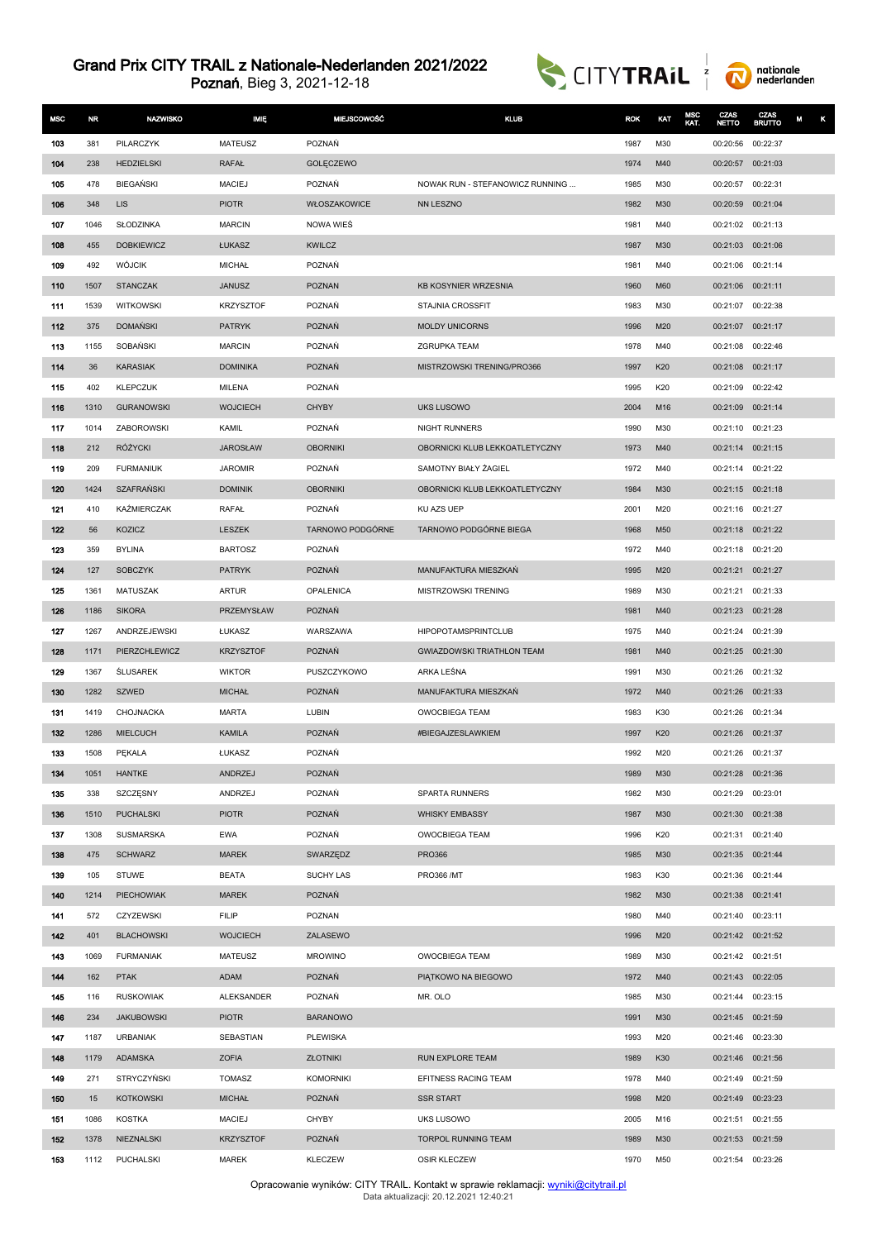



| <b>MSC</b> | NR.          | <b>NAZWISKO</b>               | <b>MIĘ</b>           | <b>MIEJSCOWOŚĆ</b>        | <b>KLUB</b>                       | <b>ROK</b>   | KAT        | MSC<br>KAT. | CZAS<br>NETTO        | CZAS<br><b>BRUTTO</b> | M<br>κ |
|------------|--------------|-------------------------------|----------------------|---------------------------|-----------------------------------|--------------|------------|-------------|----------------------|-----------------------|--------|
| 103        | 381          | PILARCZYK                     | <b>MATEUSZ</b>       | POZNAŃ                    |                                   | 1987         | M30        |             | 00:20:56             | 00:22:37              |        |
| 104        | 238          | <b>HEDZIELSKI</b>             | <b>RAFAŁ</b>         | GOLĘCZEWO                 |                                   | 1974         | M40        |             | 00:20:57             | 00:21:03              |        |
| 105        | 478          | <b>BIEGAŃSKI</b>              | <b>MACIEJ</b>        | POZNAŃ                    | NOWAK RUN - STEFANOWICZ RUNNING   | 1985         | M30        |             | 00:20:57             | 00:22:31              |        |
| 106        | 348          | <b>LIS</b>                    | <b>PIOTR</b>         | WŁOSZAKOWICE              | <b>NN LESZNO</b>                  | 1982         | M30        |             | 00:20:59             | 00:21:04              |        |
| 107        | 1046         | SŁODZINKA                     | <b>MARCIN</b>        | NOWA WIES                 |                                   | 1981         | M40        |             | 00:21:02             | 00:21:13              |        |
| 108        | 455          | <b>DOBKIEWICZ</b>             | ŁUKASZ               | <b>KWILCZ</b>             |                                   | 1987         | M30        |             | 00:21:03 00:21:06    |                       |        |
| 109        | 492          | <b>WÓJCIK</b>                 | <b>MICHAŁ</b>        | POZNAŃ                    |                                   | 1981         | M40        |             | 00:21:06             | 00:21:14              |        |
| 110        | 1507         | <b>STANCZAK</b>               | <b>JANUSZ</b>        | <b>POZNAN</b>             | <b>KB KOSYNIER WRZESNIA</b>       | 1960         | M60        |             | 00:21:06             | 00:21:11              |        |
| 111        | 1539         | <b>WITKOWSKI</b>              | <b>KRZYSZTOF</b>     | POZNAŃ                    | STAJNIA CROSSFIT                  | 1983         | M30        |             | 00:21:07             | 00:22:38              |        |
| 112        | 375          | <b>DOMAŃSKI</b>               | <b>PATRYK</b>        | <b>POZNAŃ</b>             | <b>MOLDY UNICORNS</b>             | 1996         | M20        |             | 00:21:07             | 00:21:17              |        |
| 113        | 1155         | SOBAŃSKI                      | <b>MARCIN</b>        | POZNAŃ                    | <b>ZGRUPKA TEAM</b>               | 1978         | M40        |             | 00:21:08             | 00:22:46              |        |
| 114        | 36           | <b>KARASIAK</b>               | <b>DOMINIKA</b>      | POZNAŃ                    | MISTRZOWSKI TRENING/PRO366        | 1997         | K20        |             | 00:21:08             | 00:21:17              |        |
| 115        | 402          | <b>KLEPCZUK</b>               | MILENA               | POZNAŃ                    |                                   | 1995         | K20        |             | 00:21:09             | 00:22:42              |        |
| 116        | 1310         | <b>GURANOWSKI</b>             | <b>WOJCIECH</b>      | <b>CHYBY</b>              | <b>UKS LUSOWO</b>                 | 2004         | M16        |             | 00:21:09             | 00:21:14              |        |
| 117        | 1014         | <b>ZABOROWSKI</b>             | KAMIL                | POZNAŃ                    | <b>NIGHT RUNNERS</b>              | 1990         | M30        |             | 00:21:10             | 00:21:23              |        |
| 118        | 212          | RÓŻYCKI                       | <b>JAROSŁAW</b>      | <b>OBORNIKI</b>           | OBORNICKI KLUB LEKKOATLETYCZNY    | 1973         | M40        |             | 00:21:14 00:21:15    |                       |        |
| 119        | 209          | <b>FURMANIUK</b>              | <b>JAROMIR</b>       | POZNAŃ                    | SAMOTNY BIAŁY ŻAGIEL              | 1972         | M40        |             | 00:21:14 00:21:22    |                       |        |
| 120        | 1424         | <b>SZAFRAŃSKI</b>             | <b>DOMINIK</b>       | <b>OBORNIKI</b>           | OBORNICKI KLUB LEKKOATLETYCZNY    | 1984         | M30        |             | 00:21:15 00:21:18    |                       |        |
| 121        | 410          | KAŻMIERCZAK                   | RAFAŁ                | POZNAŃ                    | KU AZS UEP                        | 2001         | M20        |             | 00:21:16             | 00:21:27              |        |
| 122        | 56           | KOZICZ                        | <b>LESZEK</b>        | TARNOWO PODGÓRNE          | TARNOWO PODGÓRNE BIEGA            | 1968         | M50        |             | 00:21:18 00:21:22    |                       |        |
| 123        | 359          | <b>BYLINA</b>                 | <b>BARTOSZ</b>       | POZNAŃ                    |                                   | 1972         | M40        |             | 00:21:18 00:21:20    |                       |        |
| 124        | 127          | <b>SOBCZYK</b>                | <b>PATRYK</b>        | POZNAŃ                    | MANUFAKTURA MIESZKAŃ              | 1995         | M20        |             | 00:21:21             | 00:21:27              |        |
| 125        | 1361         | MATUSZAK                      | ARTUR                | OPALENICA                 | MISTRZOWSKI TRENING               | 1989         | M30        |             | 00:21:21             | 00:21:33              |        |
| 126<br>127 | 1186<br>1267 | <b>SIKORA</b><br>ANDRZEJEWSKI | PRZEMYSŁAW<br>ŁUKASZ | <b>POZNAŃ</b><br>WARSZAWA | <b>HIPOPOTAMSPRINTCLUB</b>        | 1981<br>1975 | M40<br>M40 |             | 00:21:23<br>00:21:24 | 00:21:28<br>00:21:39  |        |
| 128        | 1171         | PIERZCHLEWICZ                 | <b>KRZYSZTOF</b>     | POZNAŃ                    | <b>GWIAZDOWSKI TRIATHLON TEAM</b> | 1981         | M40        |             | 00:21:25             | 00:21:30              |        |
| 129        | 1367         | <b>ŚLUSAREK</b>               | <b>WIKTOR</b>        | PUSZCZYKOWO               | ARKA LEŚNA                        | 1991         | M30        |             | 00:21:26             | 00:21:32              |        |
| 130        | 1282         | SZWED                         | <b>MICHAŁ</b>        | POZNAŃ                    | MANUFAKTURA MIESZKAŃ              | 1972         | M40        |             | 00:21:26             | 00:21:33              |        |
| 131        | 1419         | CHOJNACKA                     | MARTA                | LUBIN                     | OWOCBIEGA TEAM                    | 1983         | K30        |             | 00:21:26             | 00:21:34              |        |
| 132        | 1286         | <b>MIELCUCH</b>               | <b>KAMILA</b>        | <b>POZNAŃ</b>             | #BIEGAJZESLAWKIEM                 | 1997         | K20        |             | 00:21:26             | 00:21:37              |        |
| 133        | 1508         | PĘKALA                        | ŁUKASZ               | POZNAŃ                    |                                   | 1992         | M20        |             | 00:21:26 00:21:37    |                       |        |
| 134        | 1051         | <b>HANTKE</b>                 | ANDRZEJ              | POZNAŃ                    |                                   | 1989         | M30        |             | 00:21:28 00:21:36    |                       |        |
| 135        | 338          | SZCZĘSNY                      | ANDRZEJ              | POZNAŃ                    | SPARTA RUNNERS                    | 1982         | M30        |             | 00:21:29             | 00:23:01              |        |
| 136        | 1510         | <b>PUCHALSKI</b>              | <b>PIOTR</b>         | POZNAŃ                    | <b>WHISKY EMBASSY</b>             | 1987         | M30        |             | 00:21:30             | 00:21:38              |        |
| 137        | 1308         | SUSMARSKA                     | <b>EWA</b>           | POZNAŃ                    | OWOCBIEGA TEAM                    | 1996         | K20        |             | 00:21:31             | 00:21:40              |        |
| 138        | 475          | <b>SCHWARZ</b>                | <b>MAREK</b>         | SWARZĘDZ                  | <b>PRO366</b>                     | 1985         | M30        |             | 00:21:35 00:21:44    |                       |        |
| 139        | 105          | <b>STUWE</b>                  | <b>BEATA</b>         | SUCHY LAS                 | <b>PRO366 /MT</b>                 | 1983         | K30        |             | 00:21:36             | 00:21:44              |        |
| 140        | 1214         | PIECHOWIAK                    | <b>MAREK</b>         | POZNAŃ                    |                                   | 1982         | M30        |             | 00:21:38             | 00:21:41              |        |
| 141        | 572          | CZYZEWSKI                     | <b>FILIP</b>         | POZNAN                    |                                   | 1980         | M40        |             | 00:21:40             | 00:23:11              |        |
| 142        | 401          | <b>BLACHOWSKI</b>             | <b>WOJCIECH</b>      | ZALASEWO                  |                                   | 1996         | M20        |             | 00:21:42 00:21:52    |                       |        |
| 143        | 1069         | <b>FURMANIAK</b>              | <b>MATEUSZ</b>       | <b>MROWINO</b>            | OWOCBIEGA TEAM                    | 1989         | M30        |             | 00:21:42 00:21:51    |                       |        |
| 144        | 162          | <b>PTAK</b>                   | <b>ADAM</b>          | POZNAŃ                    | PIATKOWO NA BIEGOWO               | 1972         | M40        |             | 00:21:43 00:22:05    |                       |        |
| 145        | 116          | <b>RUSKOWIAK</b>              | ALEKSANDER           | POZNAŃ                    | MR. OLO                           | 1985         | M30        |             | 00:21:44 00:23:15    |                       |        |
| 146        | 234          | <b>JAKUBOWSKI</b>             | <b>PIOTR</b>         | <b>BARANOWO</b>           |                                   | 1991         | M30        |             | 00:21:45 00:21:59    |                       |        |
| 147        | 1187         | <b>URBANIAK</b>               | SEBASTIAN            | <b>PLEWISKA</b>           |                                   | 1993         | M20        |             | 00:21:46             | 00:23:30              |        |
| 148        | 1179         | ADAMSKA                       | <b>ZOFIA</b>         | ZŁOTNIKI                  | RUN EXPLORE TEAM                  | 1989         | K30        |             | 00:21:46 00:21:56    |                       |        |
| 149        | 271          | <b>STRYCZYŃSKI</b>            | <b>TOMASZ</b>        | <b>KOMORNIKI</b>          | EFITNESS RACING TEAM              | 1978         | M40        |             | 00:21:49             | 00:21:59              |        |
| 150        | 15           | <b>KOTKOWSKI</b>              | <b>MICHAŁ</b>        | POZNAŃ                    | <b>SSR START</b>                  | 1998         | M20        |             | 00:21:49             | 00:23:23              |        |
| 151        | 1086         | <b>KOSTKA</b>                 | <b>MACIEJ</b>        | <b>CHYBY</b>              | UKS LUSOWO                        | 2005         | M16        |             | 00:21:51             | 00:21:55              |        |
| 152        | 1378         | NIEZNALSKI                    | <b>KRZYSZTOF</b>     | POZNAŃ                    | TORPOL RUNNING TEAM               | 1989         | M30        |             | 00:21:53 00:21:59    |                       |        |
| 153        | 1112         | PUCHALSKI                     | <b>MAREK</b>         | <b>KLECZEW</b>            | OSIR KLECZEW                      | 1970         | M50        |             | 00:21:54 00:23:26    |                       |        |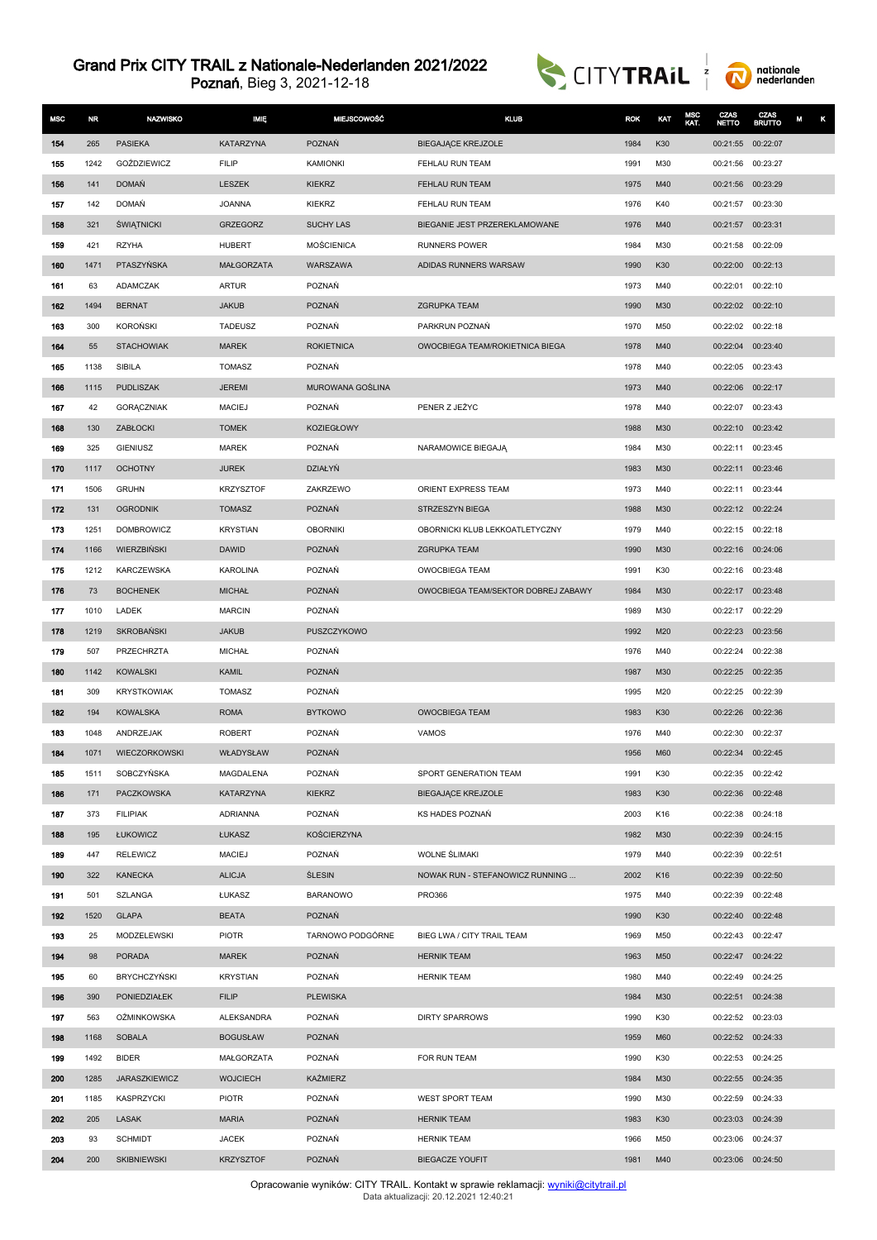Poznań, Bieg 3, 2021-12-18





| <b>MSC</b> | <b>NR</b> | <b>NAZWISKO</b>      | MIĘ               | <b>MIEJSCOWOŚĆ</b> | <b>KLUB</b>                         | <b>ROK</b> | KAT | MSC<br>KAT. | CZAS<br><b>NETTO</b> | CZAS<br><b>BRUTTO</b> | М |
|------------|-----------|----------------------|-------------------|--------------------|-------------------------------------|------------|-----|-------------|----------------------|-----------------------|---|
| 154        | 265       | <b>PASIEKA</b>       | KATARZYNA         | <b>POZNAŃ</b>      | <b>BIEGAJĄCE KREJZOLE</b>           | 1984       | K30 |             | 00:21:55 00:22:07    |                       |   |
| 155        | 1242      | GOŹDZIEWICZ          | <b>FILIP</b>      | <b>KAMIONKI</b>    | FEHLAU RUN TEAM                     | 1991       | M30 |             | 00:21:56 00:23:27    |                       |   |
| 156        | 141       | <b>DOMAŃ</b>         | LESZEK            | <b>KIEKRZ</b>      | FEHLAU RUN TEAM                     | 1975       | M40 |             | 00:21:56 00:23:29    |                       |   |
| 157        | 142       | <b>DOMAŃ</b>         | <b>JOANNA</b>     | <b>KIEKRZ</b>      | FEHLAU RUN TEAM                     | 1976       | K40 |             | 00:21:57             | 00:23:30              |   |
| 158        | 321       | <b>ŚWIĄTNICKI</b>    | <b>GRZEGORZ</b>   | <b>SUCHY LAS</b>   | BIEGANIE JEST PRZEREKLAMOWANE       | 1976       | M40 |             | 00:21:57             | 00:23:31              |   |
| 159        | 421       | <b>RZYHA</b>         | <b>HUBERT</b>     | <b>MOŚCIENICA</b>  | <b>RUNNERS POWER</b>                | 1984       | M30 |             | 00:21:58             | 00:22:09              |   |
| 160        | 1471      | PTASZYŃSKA           | <b>MAŁGORZATA</b> | WARSZAWA           | ADIDAS RUNNERS WARSAW               | 1990       | K30 |             | 00:22:00 00:22:13    |                       |   |
| 161        | 63        | ADAMCZAK             | <b>ARTUR</b>      | POZNAŃ             |                                     | 1973       | M40 |             | 00:22:01             | 00:22:10              |   |
| 162        | 1494      | <b>BERNAT</b>        | <b>JAKUB</b>      | POZNAŃ             | <b>ZGRUPKA TEAM</b>                 | 1990       | M30 |             | 00:22:02 00:22:10    |                       |   |
| 163        | 300       | <b>KOROŃSKI</b>      | <b>TADEUSZ</b>    | POZNAŃ             | PARKRUN POZNAŃ                      | 1970       | M50 |             | 00:22:02 00:22:18    |                       |   |
| 164        | 55        | <b>STACHOWIAK</b>    | <b>MAREK</b>      | <b>ROKIETNICA</b>  | OWOCBIEGA TEAM/ROKIETNICA BIEGA     | 1978       | M40 |             | 00:22:04             | 00:23:40              |   |
| 165        | 1138      | SIBILA               | <b>TOMASZ</b>     | POZNAŃ             |                                     | 1978       | M40 |             | 00:22:05 00:23:43    |                       |   |
| 166        | 1115      | <b>PUDLISZAK</b>     | <b>JEREMI</b>     | MUROWANA GOŚLINA   |                                     | 1973       | M40 |             | 00:22:06 00:22:17    |                       |   |
| 167        | 42        | <b>GORACZNIAK</b>    | <b>MACIEJ</b>     | POZNAŃ             | PENER Z JEŻYC                       | 1978       | M40 |             | 00:22:07             | 00:23:43              |   |
| 168        | 130       | ZABŁOCKI             | <b>TOMEK</b>      | <b>KOZIEGŁOWY</b>  |                                     | 1988       | M30 |             | 00:22:10 00:23:42    |                       |   |
| 169        | 325       | <b>GIENIUSZ</b>      | <b>MAREK</b>      | POZNAŃ             | NARAMOWICE BIEGAJA                  | 1984       | M30 |             | 00:22:11             | 00:23:45              |   |
| 170        | 1117      | <b>OCHOTNY</b>       | <b>JUREK</b>      | <b>DZIAŁYŃ</b>     |                                     | 1983       | M30 |             | 00:22:11 00:23:46    |                       |   |
| 171        | 1506      | <b>GRUHN</b>         | <b>KRZYSZTOF</b>  | ZAKRZEWO           | ORIENT EXPRESS TEAM                 | 1973       | M40 |             | 00:22:11             | 00:23:44              |   |
| 172        | 131       | <b>OGRODNIK</b>      | <b>TOMASZ</b>     | POZNAŃ             | STRZESZYN BIEGA                     | 1988       | M30 |             | 00:22:12 00:22:24    |                       |   |
| 173        | 1251      | <b>DOMBROWICZ</b>    | <b>KRYSTIAN</b>   | <b>OBORNIKI</b>    | OBORNICKI KLUB LEKKOATLETYCZNY      | 1979       | M40 |             | 00:22:15 00:22:18    |                       |   |
| 174        | 1166      | <b>WIERZBIŃSKI</b>   | <b>DAWID</b>      | <b>POZNAŃ</b>      | <b>ZGRUPKA TEAM</b>                 | 1990       | M30 |             | 00:22:16 00:24:06    |                       |   |
| 175        | 1212      | <b>KARCZEWSKA</b>    | <b>KAROLINA</b>   | POZNAŃ             | <b>OWOCBIEGA TEAM</b>               | 1991       | K30 |             | 00:22:16 00:23:48    |                       |   |
| 176        | 73        | <b>BOCHENEK</b>      | <b>MICHAŁ</b>     | POZNAŃ             | OWOCBIEGA TEAM/SEKTOR DOBREJ ZABAWY | 1984       | M30 |             | 00:22:17 00:23:48    |                       |   |
| 177        | 1010      | LADEK                | <b>MARCIN</b>     | POZNAŃ             |                                     | 1989       | M30 |             | 00:22:17 00:22:29    |                       |   |
| 178        | 1219      | <b>SKROBAŃSKI</b>    | <b>JAKUB</b>      | PUSZCZYKOWO        |                                     | 1992       | M20 |             | 00:22:23 00:23:56    |                       |   |
| 179        | 507       | PRZECHRZTA           | <b>MICHAŁ</b>     | POZNAŃ             |                                     | 1976       | M40 |             | 00:22:24             | 00:22:38              |   |
| 180        | 1142      | <b>KOWALSKI</b>      | <b>KAMIL</b>      | <b>POZNAŃ</b>      |                                     | 1987       | M30 |             | 00:22:25 00:22:35    |                       |   |
| 181        | 309       | <b>KRYSTKOWIAK</b>   | <b>TOMASZ</b>     | POZNAŃ             |                                     | 1995       | M20 |             | 00:22:25             | 00:22:39              |   |
| 182        | 194       | KOWALSKA             | <b>ROMA</b>       | <b>BYTKOWO</b>     | <b>OWOCBIEGA TEAM</b>               | 1983       | K30 |             | 00:22:26 00:22:36    |                       |   |
| 183        | 1048      | ANDRZEJAK            | <b>ROBERT</b>     | <b>POZNAŃ</b>      | <b>VAMOS</b>                        | 1976       | M40 |             | 00:22:30             | 00:22:37              |   |
| 184        | 1071      | <b>WIECZORKOWSKI</b> | WŁADYSŁAW         | POZNAŃ             |                                     | 1956       | M60 |             | 00:22:34 00:22:45    |                       |   |
| 185        | 1511      | SOBCZYŃSKA           | MAGDALENA         | POZNAŃ             | SPORT GENERATION TEAM               | 1991       | K30 |             | 00:22:35 00:22:42    |                       |   |
| 186        | 171       | PACZKOWSKA           | KATARZYNA         | <b>KIEKRZ</b>      | <b>BIEGAJĄCE KREJZOLE</b>           | 1983       | K30 |             | 00:22:36 00:22:48    |                       |   |
| 187        | 373       | <b>FILIPIAK</b>      | <b>ADRIANNA</b>   | POZNAŃ             | KS HADES POZNAŃ                     | 2003       | K16 |             | 00:22:38 00:24:18    |                       |   |
| 188        | 195       | ŁUKOWICZ             | ŁUKASZ            | <b>KOŚCIERZYNA</b> |                                     | 1982       | M30 |             | 00:22:39 00:24:15    |                       |   |
| 189        | 447       | <b>RELEWICZ</b>      | <b>MACIEJ</b>     | POZNAŃ             | <b>WOLNE SLIMAKI</b>                | 1979       | M40 |             | 00:22:39 00:22:51    |                       |   |
| 190        | 322       | <b>KANECKA</b>       | <b>ALICJA</b>     | <b>ŚLESIN</b>      | NOWAK RUN - STEFANOWICZ RUNNING     | 2002       | K16 |             | 00:22:39 00:22:50    |                       |   |
| 191        | 501       | SZLANGA              | ŁUKASZ            | <b>BARANOWO</b>    | PR0366                              | 1975       | M40 |             | 00:22:39 00:22:48    |                       |   |
| 192        | 1520      | <b>GLAPA</b>         | <b>BEATA</b>      | POZNAŃ             |                                     | 1990       | K30 |             | 00:22:40 00:22:48    |                       |   |
| 193        | 25        | MODZELEWSKI          | PIOTR             | TARNOWO PODGÓRNE   | BIEG LWA / CITY TRAIL TEAM          | 1969       | M50 |             | 00:22:43 00:22:47    |                       |   |
| 194        | 98        | <b>PORADA</b>        | <b>MAREK</b>      | POZNAŃ             | <b>HERNIK TEAM</b>                  | 1963       | M50 |             | 00:22:47 00:24:22    |                       |   |
| 195        | 60        | <b>BRYCHCZYŃSKI</b>  | <b>KRYSTIAN</b>   | POZNAŃ             | <b>HERNIK TEAM</b>                  | 1980       | M40 |             | 00:22:49 00:24:25    |                       |   |
| 196        | 390       | PONIEDZIAŁEK         | <b>FILIP</b>      | <b>PLEWISKA</b>    |                                     | 1984       | M30 |             | 00:22:51 00:24:38    |                       |   |
| 197        | 563       | <b>OŻMINKOWSKA</b>   | ALEKSANDRA        | POZNAŃ             | <b>DIRTY SPARROWS</b>               | 1990       | K30 |             | 00:22:52 00:23:03    |                       |   |
| 198        | 1168      | <b>SOBALA</b>        | <b>BOGUSŁAW</b>   | POZNAŃ             |                                     | 1959       | M60 |             | 00:22:52 00:24:33    |                       |   |
| 199        | 1492      | <b>BIDER</b>         | MAŁGORZATA        | POZNAŃ             | FOR RUN TEAM                        | 1990       | K30 |             | 00:22:53 00:24:25    |                       |   |
| 200        | 1285      | JARASZKIEWICZ        | <b>WOJCIECH</b>   | <b>KAŹMIERZ</b>    |                                     | 1984       | M30 |             | 00:22:55 00:24:35    |                       |   |
| 201        | 1185      | KASPRZYCKI           | <b>PIOTR</b>      | POZNAŃ             | WEST SPORT TEAM                     | 1990       | M30 |             | 00:22:59 00:24:33    |                       |   |
| 202        | 205       | LASAK                | <b>MARIA</b>      | POZNAŃ             | <b>HERNIK TEAM</b>                  | 1983       | K30 |             | 00:23:03 00:24:39    |                       |   |
| 203        | 93        | <b>SCHMIDT</b>       | <b>JACEK</b>      | POZNAŃ             | <b>HERNIK TEAM</b>                  | 1966       | M50 |             | 00:23:06 00:24:37    |                       |   |
| 204        | 200       | <b>SKIBNIEWSKI</b>   | <b>KRZYSZTOF</b>  | POZNAŃ             | <b>BIEGACZE YOUFIT</b>              | 1981       | M40 |             | 00:23:06 00:24:50    |                       |   |

Opracowanie wyników: CITY TRAIL. Kontakt w sprawie reklamacji: <u>[wyniki@citytrail.pl](mailto: wyniki@citytrail.pl)</u><br>Data aktualizacji: 20.12.2021 12:40:21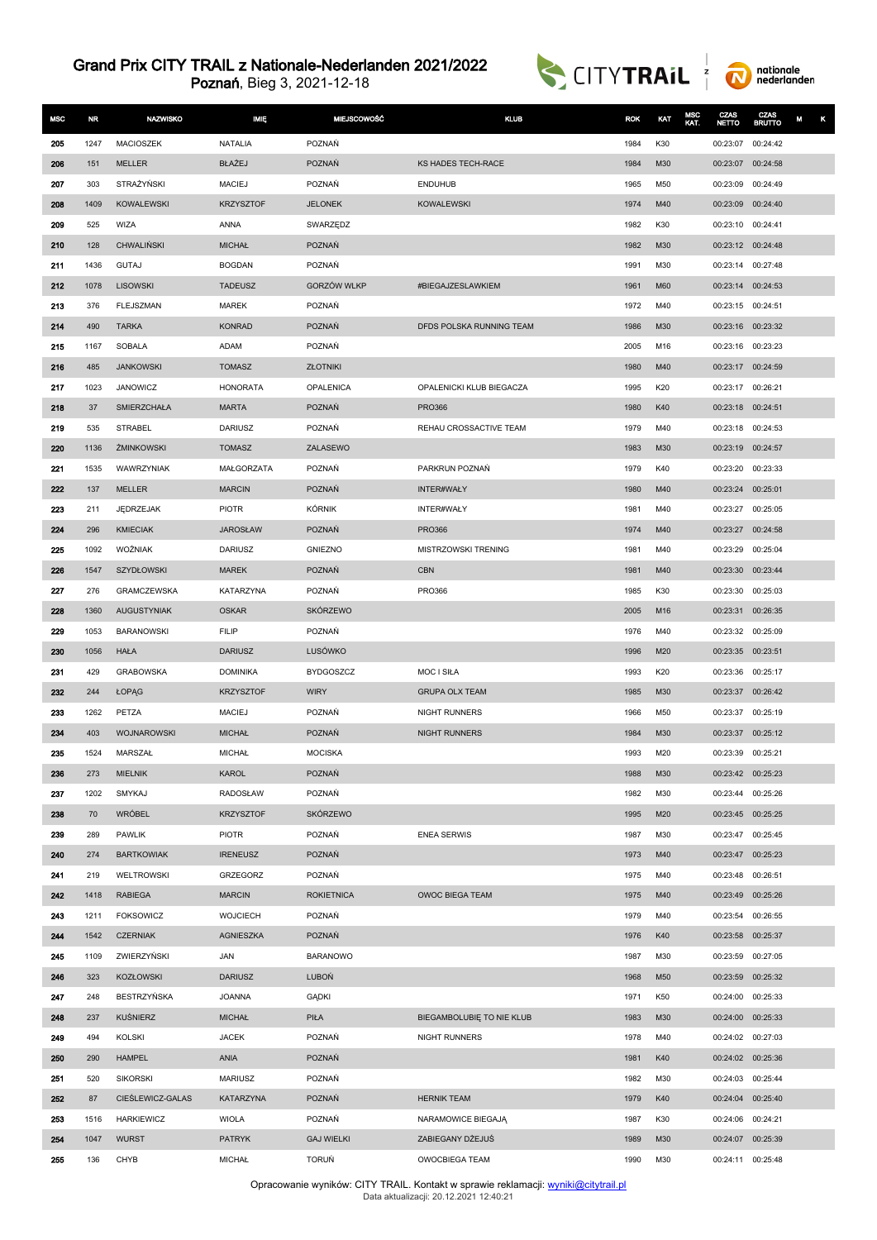Poznań, Bieg 3, 2021-12-18





| <b>MSC</b> | NR.         | <b>NAZWISKO</b>             | <b>IMIĘ</b>                   | <b>MIEJSCOWOŚĆ</b>       | <b>KLUB</b>               | <b>ROK</b>   | KAT        | MSC<br>KAT. | CZAS<br><b>NETTO</b>                   | CZAS<br><b>BRUTTO</b> | κ<br>M |
|------------|-------------|-----------------------------|-------------------------------|--------------------------|---------------------------|--------------|------------|-------------|----------------------------------------|-----------------------|--------|
| 205        | 1247        | <b>MACIOSZEK</b>            | <b>NATALIA</b>                | POZNAŃ                   |                           | 1984         | K30        |             | 00:23:07                               | 00:24:42              |        |
| 206        | 151         | <b>MELLER</b>               | BŁAŻEJ                        | POZNAŃ                   | KS HADES TECH-RACE        | 1984         | M30        |             | 00:23:07                               | 00:24:58              |        |
| 207        | 303         | STRAŻYŃSKI                  | <b>MACIEJ</b>                 | POZNAŃ                   | <b>ENDUHUB</b>            | 1965         | M50        |             | 00:23:09                               | 00:24:49              |        |
| 208        | 1409        | <b>KOWALEWSKI</b>           | <b>KRZYSZTOF</b>              | <b>JELONEK</b>           | <b>KOWALEWSKI</b>         | 1974         | M40        |             | 00:23:09                               | 00:24:40              |        |
| 209        | 525         | WIZA                        | ANNA                          | SWARZĘDZ                 |                           | 1982         | K30        |             | 00:23:10                               | 00:24:41              |        |
| 210        | 128         | <b>CHWALIŃSKI</b>           | <b>MICHAŁ</b>                 | <b>POZNAŃ</b>            |                           | 1982         | M30        |             | 00:23:12 00:24:48                      |                       |        |
| 211        | 1436        | <b>GUTAJ</b>                | <b>BOGDAN</b>                 | POZNAŃ                   |                           | 1991         | M30        |             | 00:23:14 00:27:48                      |                       |        |
| 212        | 1078        | <b>LISOWSKI</b>             | <b>TADEUSZ</b>                | <b>GORZÓW WLKP</b>       | #BIEGAJZESLAWKIEM         | 1961         | M60        |             | 00:23:14                               | 00:24:53              |        |
| 213        | 376         | <b>FLEJSZMAN</b>            | <b>MAREK</b>                  | POZNAŃ                   |                           | 1972         | M40        |             | 00:23:15                               | 00:24:51              |        |
| 214        | 490         | <b>TARKA</b>                | <b>KONRAD</b>                 | <b>POZNAŃ</b>            | DFDS POLSKA RUNNING TEAM  | 1986         | M30        |             | 00:23:16                               | 00:23:32              |        |
| 215        | 1167        | <b>SOBALA</b>               | ADAM                          | POZNAŃ                   |                           | 2005         | M16        |             | 00:23:16 00:23:23                      |                       |        |
| 216        | 485         | <b>JANKOWSKI</b>            | <b>TOMASZ</b>                 | ZŁOTNIKI                 |                           | 1980         | M40        |             | 00:23:17                               | 00:24:59              |        |
| 217        | 1023        | <b>JANOWICZ</b>             | <b>HONORATA</b>               | OPALENICA                | OPALENICKI KLUB BIEGACZA  | 1995         | K20        |             | 00:23:17                               | 00:26:21              |        |
| 218        | 37          | <b>SMIERZCHAŁA</b>          | <b>MARTA</b>                  | <b>POZNAŃ</b>            | <b>PRO366</b>             | 1980         | K40        |             | 00:23:18                               | 00:24:51              |        |
| 219        | 535         | <b>STRABEL</b>              | <b>DARIUSZ</b>                | POZNAŃ                   | REHAU CROSSACTIVE TEAM    | 1979         | M40        |             | 00:23:18                               | 00:24:53              |        |
| 220        | 1136        | <b>ŻMINKOWSKI</b>           | <b>TOMASZ</b>                 | ZALASEWO                 |                           | 1983         | M30        |             | 00:23:19                               | 00:24:57              |        |
| 221        | 1535        | WAWRZYNIAK                  | MAŁGORZATA                    | POZNAŃ                   | PARKRUN POZNAŃ            | 1979         | K40        |             | 00:23:20                               | 00:23:33              |        |
| 222        | 137         | <b>MELLER</b>               | <b>MARCIN</b>                 | POZNAŃ                   | INTER#WAŁY                | 1980         | M40        |             | 00:23:24                               | 00:25:01              |        |
| 223        | 211         | JEDRZEJAK                   | <b>PIOTR</b>                  | <b>KÓRNIK</b>            | INTER#WAŁY                | 1981         | M40        |             | 00:23:27                               | 00:25:05              |        |
| 224        | 296         | <b>KMIECIAK</b>             | <b>JAROSŁAW</b>               | <b>POZNAŃ</b>            | <b>PRO366</b>             | 1974         | M40        |             | 00:23:27                               | 00:24:58              |        |
| 225        | 1092        | WOŹNIAK                     | <b>DARIUSZ</b>                | <b>GNIEZNO</b>           | MISTRZOWSKI TRENING       | 1981         | M40        |             | 00:23:29                               | 00:25:04              |        |
| 226        | 1547        | SZYDŁOWSKI                  | <b>MAREK</b>                  | POZNAŃ                   | <b>CBN</b>                | 1981         | M40        |             | 00:23:30                               | 00:23:44              |        |
| 227        | 276         | <b>GRAMCZEWSKA</b>          | KATARZYNA                     | POZNAŃ                   | <b>PRO366</b>             | 1985         | K30        |             | 00:23:30                               | 00:25:03              |        |
| 228        | 1360        | <b>AUGUSTYNIAK</b>          | <b>OSKAR</b>                  | <b>SKÓRZEWO</b>          |                           | 2005         | M16        |             | 00:23:31                               | 00:26:35              |        |
| 229        | 1053        | <b>BARANOWSKI</b>           | <b>FILIP</b>                  | POZNAŃ                   |                           | 1976         | M40        |             | 00:23:32                               | 00:25:09              |        |
| 230        | 1056        | <b>HAŁA</b>                 | <b>DARIUSZ</b>                | LUSÓWKO                  |                           | 1996         | M20        |             | 00:23:35 00:23:51                      |                       |        |
| 231        | 429         | <b>GRABOWSKA</b>            | <b>DOMINIKA</b>               | <b>BYDGOSZCZ</b>         | <b>MOC I SIŁA</b>         | 1993         | K20        |             | 00:23:36                               | 00:25:17              |        |
| 232        | 244         | ŁOPĄG                       | <b>KRZYSZTOF</b>              | <b>WIRY</b>              | <b>GRUPA OLX TEAM</b>     | 1985         | M30        |             | 00:23:37                               | 00:26:42              |        |
| 233        | 1262        | PETZA<br><b>WOJNAROWSKI</b> | <b>MACIEJ</b>                 | POZNAŃ                   | <b>NIGHT RUNNERS</b>      | 1966         | M50        |             | 00:23:37                               | 00:25:19              |        |
| 234<br>235 | 403         |                             | <b>MICHAŁ</b>                 | <b>POZNAŃ</b>            | <b>NIGHT RUNNERS</b>      | 1984         | M30        |             | 00:23:37                               | 00:25:12              |        |
|            | 1524        | MARSZAŁ<br><b>MIELNIK</b>   | <b>MICHAŁ</b><br><b>KAROL</b> | <b>MOCISKA</b><br>POZNAŃ |                           | 1993<br>1988 | M20<br>M30 |             | 00:23:39 00:25:21                      |                       |        |
| 236<br>237 | 273<br>1202 | SMYKAJ                      | RADOSŁAW                      | POZNAŃ                   |                           | 1982         | M30        |             | 00:23:42 00:25:23<br>00:23:44 00:25:26 |                       |        |
| 238        | 70          | <b>WRÓBEL</b>               | <b>KRZYSZTOF</b>              | <b>SKÓRZEWO</b>          |                           | 1995         | M20        |             | 00:23:45 00:25:25                      |                       |        |
| 239        | 289         | <b>PAWLIK</b>               | <b>PIOTR</b>                  | POZNAŃ                   | <b>ENEA SERWIS</b>        | 1987         | M30        |             | 00:23:47 00:25:45                      |                       |        |
| 240        | 274         | <b>BARTKOWIAK</b>           | <b>IRENEUSZ</b>               | POZNAŃ                   |                           | 1973         | M40        |             | 00:23:47 00:25:23                      |                       |        |
| 241        | 219         | WELTROWSKI                  | GRZEGORZ                      | POZNAŃ                   |                           | 1975         | M40        |             | 00:23:48 00:26:51                      |                       |        |
| 242        | 1418        | <b>RABIEGA</b>              | <b>MARCIN</b>                 | <b>ROKIETNICA</b>        | OWOC BIEGA TEAM           | 1975         | M40        |             | 00:23:49                               | 00:25:26              |        |
| 243        | 1211        | <b>FOKSOWICZ</b>            | <b>WOJCIECH</b>               | POZNAŃ                   |                           | 1979         | M40        |             | 00:23:54                               | 00:26:55              |        |
| 244        | 1542        | <b>CZERNIAK</b>             | <b>AGNIESZKA</b>              | POZNAŃ                   |                           | 1976         | K40        |             | 00:23:58                               | 00:25:37              |        |
| 245        | 1109        | ZWIERZYŃSKI                 | JAN                           | <b>BARANOWO</b>          |                           | 1987         | M30        |             | 00:23:59 00:27:05                      |                       |        |
| 246        | 323         | <b>KOZŁOWSKI</b>            | <b>DARIUSZ</b>                | LUBOŃ                    |                           | 1968         | M50        |             | 00:23:59                               | 00:25:32              |        |
| 247        | 248         | <b>BESTRZYŃSKA</b>          | <b>JOANNA</b>                 | <b>GADKI</b>             |                           | 1971         | K50        |             | 00:24:00                               | 00:25:33              |        |
| 248        | 237         | <b>KUŚNIERZ</b>             | <b>MICHAŁ</b>                 | PIŁA                     | BIEGAMBOLUBIE TO NIE KLUB | 1983         | M30        |             | 00:24:00                               | 00:25:33              |        |
| 249        | 494         | <b>KOLSKI</b>               | <b>JACEK</b>                  | POZNAŃ                   | <b>NIGHT RUNNERS</b>      | 1978         | M40        |             | 00:24:02 00:27:03                      |                       |        |
| 250        | 290         | <b>HAMPEL</b>               | ANIA                          | POZNAŃ                   |                           | 1981         | K40        |             | 00:24:02 00:25:36                      |                       |        |
| 251        | 520         | <b>SIKORSKI</b>             | <b>MARIUSZ</b>                | POZNAŃ                   |                           | 1982         | M30        |             | 00:24:03                               | 00:25:44              |        |
| 252        | 87          | CIEŚLEWICZ-GALAS            | KATARZYNA                     | POZNAŃ                   | <b>HERNIK TEAM</b>        | 1979         | K40        |             | 00:24:04                               | 00:25:40              |        |
| 253        | 1516        | <b>HARKIEWICZ</b>           | <b>WIOLA</b>                  | POZNAŃ                   | NARAMOWICE BIEGAJĄ        | 1987         | K30        |             | 00:24:06                               | 00:24:21              |        |
| 254        | 1047        | <b>WURST</b>                | <b>PATRYK</b>                 | <b>GAJ WIELKI</b>        | ZABIEGANY DŻEJUŚ          | 1989         | M30        |             | 00:24:07 00:25:39                      |                       |        |
| 255        | 136         | CHYB                        | <b>MICHAŁ</b>                 | <b>TORUŃ</b>             | OWOCBIEGA TEAM            | 1990         | M30        |             | 00:24:11 00:25:48                      |                       |        |

Opracowanie wyników: CITY TRAIL. Kontakt w sprawie reklamacji: <u>[wyniki@citytrail.pl](mailto: wyniki@citytrail.pl)</u><br>Data aktualizacji: 20.12.2021 12:40:21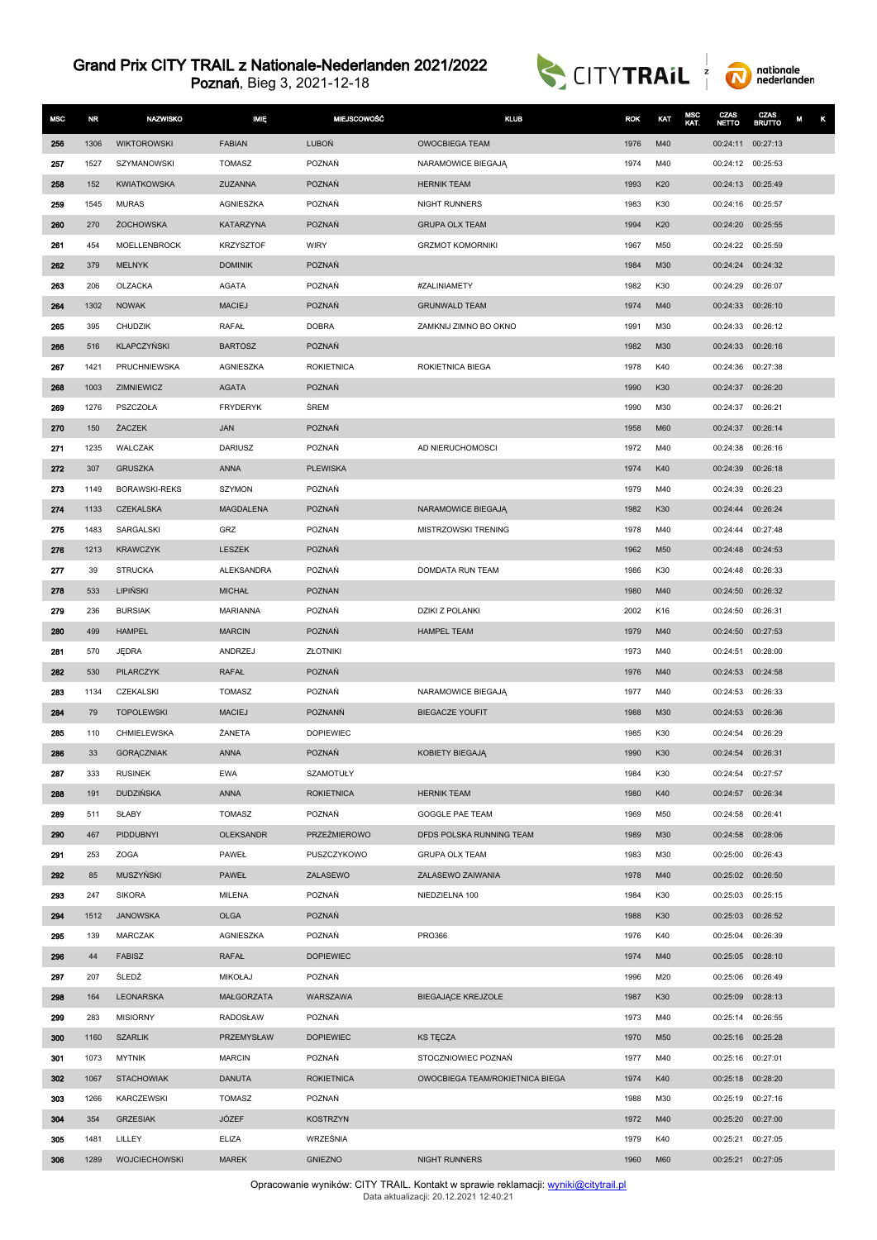



| <b>MSC</b> | <b>NR</b>    | <b>NAZWISKO</b>                        | <b>IMIE</b>             | <b>MIEJSCOWOŚĆ</b>          | <b>KLUB</b>                     | <b>ROK</b>   | KAT        | MSC<br>KAT. | CZAS.<br><b>NETTO</b>         | CZAS<br><b>BRUTTO</b> | M<br>κ |
|------------|--------------|----------------------------------------|-------------------------|-----------------------------|---------------------------------|--------------|------------|-------------|-------------------------------|-----------------------|--------|
| 256        | 1306         | <b>WIKTOROWSKI</b>                     | <b>FABIAN</b>           | LUBOŃ                       | <b>OWOCBIEGA TEAM</b>           | 1976         | M40        |             | 00:24:11                      | 00:27:13              |        |
| 257        | 1527         | SZYMANOWSKI                            | TOMASZ                  | POZNAŃ                      | NARAMOWICE BIEGAJĄ              | 1974         | M40        |             | 00:24:12 00:25:53             |                       |        |
| 258        | 152          | <b>KWIATKOWSKA</b>                     | ZUZANNA                 | POZNAŃ                      | <b>HERNIK TEAM</b>              | 1993         | K20        |             | 00:24:13 00:25:49             |                       |        |
| 259        | 1545         | <b>MURAS</b>                           | AGNIESZKA               | POZNAŃ                      | <b>NIGHT RUNNERS</b>            | 1983         | K30        |             | 00:24:16                      | 00:25:57              |        |
| 260        | 270          | <b>ŻOCHOWSKA</b>                       | KATARZYNA               | <b>POZNAŃ</b>               | <b>GRUPA OLX TEAM</b>           | 1994         | K20        |             | 00:24:20                      | 00:25:55              |        |
| 261        | 454          | <b>MOELLENBROCK</b>                    | <b>KRZYSZTOF</b>        | <b>WIRY</b>                 | <b>GRZMOT KOMORNIKI</b>         | 1967         | M50        |             | 00:24:22 00:25:59             |                       |        |
| 262        | 379          | <b>MELNYK</b>                          | <b>DOMINIK</b>          | POZNAŃ                      |                                 | 1984         | M30        |             | 00:24:24                      | 00:24:32              |        |
| 263        | 206          | OLZACKA                                | <b>AGATA</b>            | POZNAŃ                      | #ZALINIAMETY                    | 1982         | K30        |             | 00:24:29                      | 00:26:07              |        |
| 264        | 1302         | <b>NOWAK</b>                           | <b>MACIEJ</b>           | <b>POZNAŃ</b>               | <b>GRUNWALD TEAM</b>            | 1974         | M40        |             | 00:24:33                      | 00:26:10              |        |
| 265        | 395          | <b>CHUDZIK</b>                         | RAFAŁ                   | <b>DOBRA</b>                | ZAMKNIJ ZIMNO BO OKNO           | 1991         | M30        |             | 00:24:33 00:26:12             |                       |        |
| 266        | 516          | KLAPCZYŃSKI                            | <b>BARTOSZ</b>          | POZNAŃ                      |                                 | 1982         | M30        |             | 00:24:33                      | 00:26:16              |        |
| 267        | 1421         | PRUCHNIEWSKA                           | AGNIESZKA               | <b>ROKIETNICA</b>           | ROKIETNICA BIEGA                | 1978         | K40        |             | 00:24:36                      | 00:27:38              |        |
| 268        | 1003         | ZIMNIEWICZ                             | <b>AGATA</b>            | POZNAŃ                      |                                 | 1990         | K30        |             | 00:24:37                      | 00:26:20              |        |
| 269        | 1276         | PSZCZOŁA                               | <b>FRYDERYK</b>         | ŚREM                        |                                 | 1990         | M30        |             | 00:24:37                      | 00:26:21              |        |
| 270        | 150          | ŻACZEK                                 | JAN                     | POZNAŃ                      |                                 | 1958         | M60        |             | 00:24:37                      | 00:26:14              |        |
| 271        | 1235         | <b>WALCZAK</b>                         | <b>DARIUSZ</b>          | POZNAŃ                      | AD NIERUCHOMOSCI                | 1972         | M40        |             | 00:24:38                      | 00:26:16              |        |
| 272        | 307          | <b>GRUSZKA</b>                         | <b>ANNA</b>             | <b>PLEWISKA</b>             |                                 | 1974         | K40        |             | 00:24:39                      | 00:26:18              |        |
| 273        | 1149         | <b>BORAWSKI-REKS</b>                   | SZYMON                  | POZNAŃ                      |                                 | 1979         | M40        |             | 00:24:39                      | 00:26:23              |        |
| 274<br>275 | 1133<br>1483 | <b>CZEKALSKA</b>                       | MAGDALENA<br>GRZ        | <b>POZNAŃ</b><br>POZNAN     | NARAMOWICE BIEGAJA              | 1982         | K30<br>M40 |             | 00:24:44                      | 00:26:24<br>00:27:48  |        |
| 276        | 1213         | SARGALSKI<br><b>KRAWCZYK</b>           | LESZEK                  | POZNAŃ                      | MISTRZOWSKI TRENING             | 1978<br>1962 | M50        |             | 00:24:44<br>00:24:48          | 00:24:53              |        |
| 277        | 39           | <b>STRUCKA</b>                         | ALEKSANDRA              | POZNAŃ                      | DOMDATA RUN TEAM                | 1986         | K30        |             | 00:24:48                      | 00:26:33              |        |
| 278        | 533          | LIPIŃSKI                               | <b>MICHAŁ</b>           | <b>POZNAN</b>               |                                 | 1980         | M40        |             | 00:24:50                      | 00:26:32              |        |
| 279        | 236          | <b>BURSIAK</b>                         | <b>MARIANNA</b>         | POZNAŃ                      | <b>DZIKI Z POLANKI</b>          | 2002         | K16        |             | 00:24:50                      | 00:26:31              |        |
| 280        | 499          | <b>HAMPEL</b>                          | <b>MARCIN</b>           | POZNAŃ                      | <b>HAMPEL TEAM</b>              | 1979         | M40        |             | 00:24:50                      | 00:27:53              |        |
| 281        | 570          | <b>JEDRA</b>                           | ANDRZEJ                 | <b>ZŁOTNIKI</b>             |                                 | 1973         | M40        |             | 00:24:51                      | 00:28:00              |        |
| 282        | 530          | PILARCZYK                              | <b>RAFAŁ</b>            | POZNAŃ                      |                                 | 1976         | M40        |             | 00:24:53 00:24:58             |                       |        |
| 283        | 1134         | CZEKALSKI                              | <b>TOMASZ</b>           | POZNAŃ                      | NARAMOWICE BIEGAJĄ              | 1977         | M40        |             | 00:24:53                      | 00:26:33              |        |
| 284        | 79           | <b>TOPOLEWSKI</b>                      | <b>MACIEJ</b>           | <b>POZNANŃ</b>              | <b>BIEGACZE YOUFIT</b>          | 1988         | M30        |             | 00:24:53                      | 00:26:36              |        |
| 285        | 110          | CHMIELEWSKA                            | ŻANETA                  | <b>DOPIEWIEC</b>            |                                 | 1985         | K30        |             | 00:24:54                      | 00:26:29              |        |
| 286        | 33           | <b>GORĄCZNIAK</b>                      | <b>ANNA</b>             | POZNAŃ                      | KOBIETY BIEGAJĄ                 | 1990         | K30        |             | 00:24:54                      | 00:26:31              |        |
| 287        | 333          | <b>RUSINEK</b>                         | <b>EWA</b>              | SZAMOTUŁY                   |                                 | 1984         | K30        |             | 00:24:54 00:27:57             |                       |        |
| 288        | 191          | <b>DUDZIŃSKA</b>                       | <b>ANNA</b>             | <b>ROKIETNICA</b>           | <b>HERNIK TEAM</b>              | 1980         | K40        |             | 00:24:57 00:26:34             |                       |        |
| 289        | 511          | SŁABY                                  | <b>TOMASZ</b>           | POZNAŃ                      | GOGGLE PAE TEAM                 | 1969         | M50        |             | 00:24:58                      | 00:26:41              |        |
| 290        | 467          | PIDDUBNYI                              | <b>OLEKSANDR</b>        | <b>PRZEŹMIEROWO</b>         | DFDS POLSKA RUNNING TEAM        | 1989         | M30        |             | 00:24:58 00:28:06             |                       |        |
| 291        | 253          | <b>ZOGA</b>                            | PAWEŁ                   | PUSZCZYKOWO                 | <b>GRUPA OLX TEAM</b>           | 1983         | M30        |             | 00:25:00                      | 00:26:43              |        |
| 292        | 85           | <b>MUSZYŃSKI</b>                       | PAWEŁ                   | ZALASEWO                    | ZALASEWO ZAIWANIA               | 1978         | M40        |             | 00:25:02 00:26:50             |                       |        |
| 293        | 247          | <b>SIKORA</b>                          | MILENA                  | POZNAŃ                      | NIEDZIELNA 100                  | 1984         | K30        |             | 00:25:03                      | 00:25:15              |        |
| 294        | 1512         | <b>JANOWSKA</b>                        | <b>OLGA</b>             | POZNAŃ                      |                                 | 1988         | K30        |             | 00:25:03                      | 00:26:52              |        |
| 295        | 139          | <b>MARCZAK</b>                         | AGNIESZKA               | POZNAŃ                      | <b>PRO366</b>                   | 1976         | K40        |             | 00:25:04 00:26:39             |                       |        |
| 296        | 44           | <b>FABISZ</b>                          | RAFAŁ                   | <b>DOPIEWIEC</b>            |                                 | 1974         | M40        |             | 00:25:05 00:28:10             |                       |        |
| 297        | 207          | ŚLEDŻ                                  | <b>MIKOŁAJ</b>          | POZNAŃ                      |                                 | 1996         | M20        |             | 00:25:06 00:26:49             |                       |        |
| 298        | 164          | LEONARSKA                              | MAŁGORZATA              | WARSZAWA                    | <b>BIEGAJĄCE KREJZOLE</b>       | 1987         | K30        |             | 00:25:09 00:28:13             |                       |        |
| 299        | 283          | <b>MISIORNY</b>                        | <b>RADOSŁAW</b>         | POZNAŃ                      |                                 | 1973         | M40        |             | 00:25:14                      | 00:26:55              |        |
| 300        | 1160         | <b>SZARLIK</b><br><b>MYTNIK</b>        | PRZEMYSŁAW              | <b>DOPIEWIEC</b>            | <b>KS TECZA</b>                 | 1970         | M50        |             | 00:25:16 00:25:28             |                       |        |
| 301<br>302 | 1073         |                                        | <b>MARCIN</b>           | POZNAŃ                      | STOCZNIOWIEC POZNAŃ             | 1977         | M40        |             | 00:25:16 00:27:01             |                       |        |
| 303        | 1067<br>1266 | <b>STACHOWIAK</b><br><b>KARCZEWSKI</b> | <b>DANUTA</b><br>TOMASZ | <b>ROKIETNICA</b><br>POZNAŃ | OWOCBIEGA TEAM/ROKIETNICA BIEGA | 1974<br>1988 | K40<br>M30 |             | 00:25:18 00:28:20<br>00:25:19 | 00:27:16              |        |
| 304        | 354          | <b>GRZESIAK</b>                        | JÓZEF                   | <b>KOSTRZYN</b>             |                                 | 1972         | M40        |             | 00:25:20                      | 00:27:00              |        |
| 305        | 1481         | LILLEY                                 | <b>ELIZA</b>            | WRZEŚNIA                    |                                 | 1979         | K40        |             | 00:25:21 00:27:05             |                       |        |
| 306        | 1289         | WOJCIECHOWSKI                          | <b>MAREK</b>            | <b>GNIEZNO</b>              | NIGHT RUNNERS                   | 1960         | M60        |             | 00:25:21 00:27:05             |                       |        |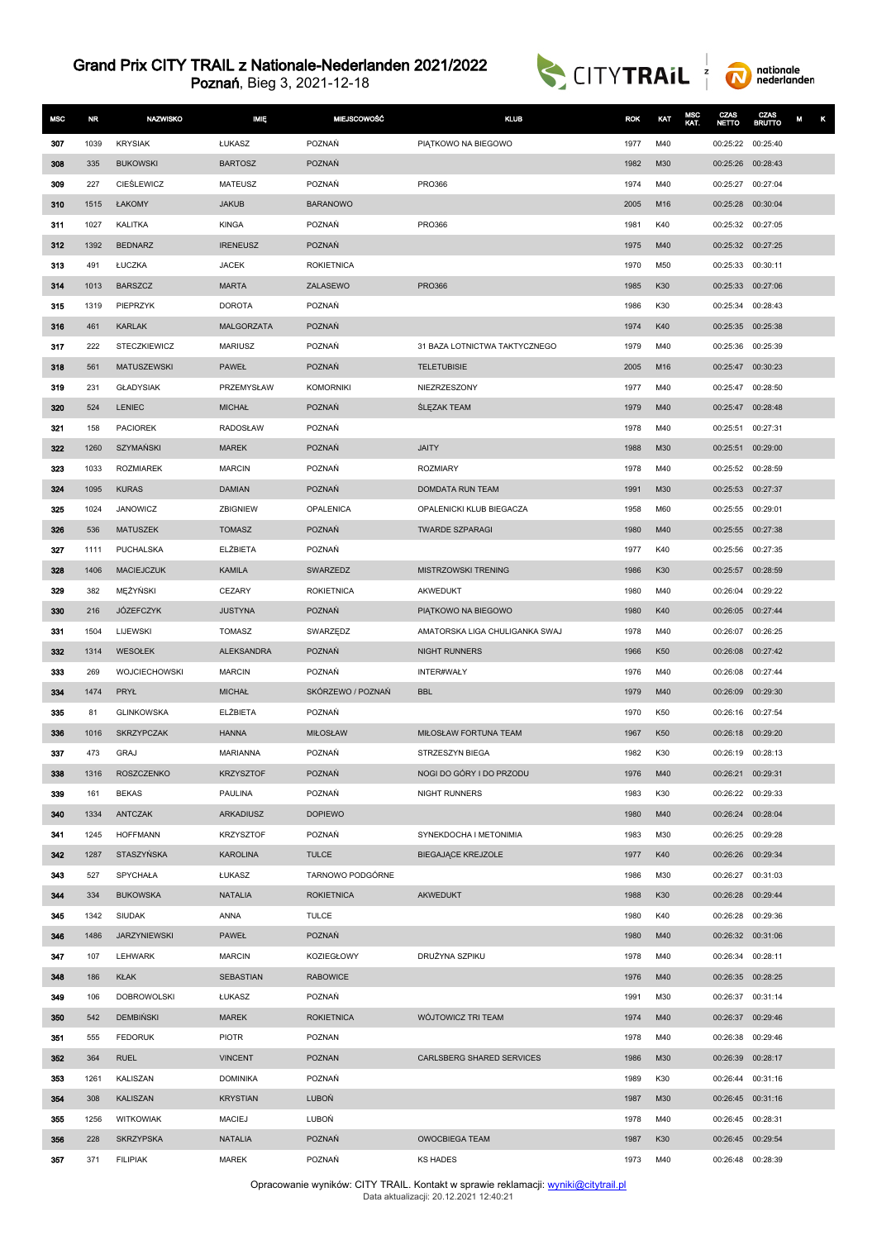



| <b>MSC</b> | NR           | <b>NAZWISKO</b>                | IMIĘ                             | <b>MIEJSCOWOŚĆ</b> | <b>KLUB</b>                    | <b>ROK</b>   | KAT        | MSC<br>KAT. | CZAS<br><b>NETTO</b> | CZAS<br><b>BRUTTO</b> | κ<br>M |
|------------|--------------|--------------------------------|----------------------------------|--------------------|--------------------------------|--------------|------------|-------------|----------------------|-----------------------|--------|
| 307        | 1039         | <b>KRYSIAK</b>                 | ŁUKASZ                           | POZNAŃ             | PIATKOWO NA BIEGOWO            | 1977         | M40        |             | 00:25:22             | 00:25:40              |        |
| 308        | 335          | <b>BUKOWSKI</b>                | <b>BARTOSZ</b>                   | POZNAŃ             |                                | 1982         | M30        |             | 00:25:26             | 00:28:43              |        |
| 309        | 227          | <b>CIESLEWICZ</b>              | <b>MATEUSZ</b>                   | POZNAŃ             | <b>PRO366</b>                  | 1974         | M40        |             | 00:25:27 00:27:04    |                       |        |
| 310        | 1515         | ŁAKOMY                         | <b>JAKUB</b>                     | <b>BARANOWO</b>    |                                | 2005         | M16        |             | 00:25:28             | 00:30:04              |        |
| 311        | 1027         | <b>KALITKA</b>                 | <b>KINGA</b>                     | POZNAŃ             | <b>PRO366</b>                  | 1981         | K40        |             | 00:25:32 00:27:05    |                       |        |
| 312        | 1392         | <b>BEDNARZ</b>                 | <b>IRENEUSZ</b>                  | <b>POZNAŃ</b>      |                                | 1975         | M40        |             | 00:25:32 00:27:25    |                       |        |
| 313        | 491          | ŁUCZKA                         | <b>JACEK</b>                     | <b>ROKIETNICA</b>  |                                | 1970         | M50        |             | 00:25:33             | 00:30:11              |        |
| 314        | 1013         | <b>BARSZCZ</b>                 | <b>MARTA</b>                     | ZALASEWO           | <b>PRO366</b>                  | 1985         | K30        |             | 00:25:33             | 00:27:06              |        |
| 315        | 1319         | PIEPRZYK                       | <b>DOROTA</b>                    | POZNAŃ             |                                | 1986         | K30        |             | 00:25:34             | 00:28:43              |        |
| 316        | 461          | <b>KARLAK</b>                  | MALGORZATA                       | POZNAŃ             |                                | 1974         | K40        |             | 00:25:35             | 00:25:38              |        |
| 317        | 222          | <b>STECZKIEWICZ</b>            | <b>MARIUSZ</b>                   | POZNAŃ             | 31 BAZA LOTNICTWA TAKTYCZNEGO  | 1979         | M40        |             | 00:25:36             | 00:25:39              |        |
| 318        | 561          | <b>MATUSZEWSKI</b>             | <b>PAWEŁ</b>                     | POZNAŃ             | <b>TELETUBISIE</b>             | 2005         | M16        |             | 00:25:47             | 00:30:23              |        |
| 319        | 231          | <b>GLADYSIAK</b>               | PRZEMYSŁAW                       | <b>KOMORNIKI</b>   | NIEZRZESZONY                   | 1977         | M40        |             | 00:25:47             | 00:28:50              |        |
| 320        | 524          | <b>LENIEC</b>                  | <b>MICHAŁ</b>                    | POZNAŃ             | <b>SLEZAK TEAM</b>             | 1979         | M40        |             | 00:25:47             | 00:28:48              |        |
| 321        | 158          | <b>PACIOREK</b>                | RADOSŁAW                         | POZNAŃ             |                                | 1978         | M40        |             | 00:25:51             | 00:27:31              |        |
| 322        | 1260         | <b>SZYMAŃSKI</b>               | <b>MAREK</b>                     | <b>POZNAŃ</b>      | <b>JAITY</b>                   | 1988         | M30        |             | 00:25:51             | 00:29:00              |        |
| 323        | 1033         | <b>ROZMIAREK</b>               | <b>MARCIN</b>                    | POZNAŃ             | <b>ROZMIARY</b>                | 1978         | M40        |             | 00:25:52 00:28:59    |                       |        |
| 324        | 1095         | <b>KURAS</b>                   | <b>DAMIAN</b>                    | POZNAŃ             | DOMDATA RUN TEAM               | 1991         | M30        |             | 00:25:53 00:27:37    |                       |        |
| 325        | 1024         | JANOWICZ                       | ZBIGNIEW                         | OPALENICA          | OPALENICKI KLUB BIEGACZA       | 1958         | M60        |             | 00:25:55             | 00:29:01              |        |
| 326        | 536          | <b>MATUSZEK</b>                | <b>TOMASZ</b>                    | <b>POZNAŃ</b>      | <b>TWARDE SZPARAGI</b>         | 1980         | M40        |             | 00:25:55             | 00:27:38              |        |
| 327        | 1111<br>1406 | PUCHALSKA<br><b>MACIEJCZUK</b> | <b>ELŻBIETA</b><br><b>KAMILA</b> | POZNAŃ<br>SWARZEDZ | MISTRZOWSKI TRENING            | 1977<br>1986 | K40<br>K30 |             | 00:25:56<br>00:25:57 | 00:27:35<br>00:28:59  |        |
| 328<br>329 | 382          | MĘŻYŃSKI                       | CEZARY                           | <b>ROKIETNICA</b>  | AKWEDUKT                       | 1980         | M40        |             | 00:26:04             | 00:29:22              |        |
| 330        | 216          | JÓZEFCZYK                      | <b>JUSTYNA</b>                   | POZNAŃ             | PIATKOWO NA BIEGOWO            | 1980         | K40        |             | 00:26:05             | 00:27:44              |        |
| 331        | 1504         | <b>LIJEWSKI</b>                | <b>TOMASZ</b>                    | SWARZĘDZ           | AMATORSKA LIGA CHULIGANKA SWAJ | 1978         | M40        |             | 00:26:07             | 00:26:25              |        |
| 332        | 1314         | WESOŁEK                        | <b>ALEKSANDRA</b>                | POZNAŃ             | <b>NIGHT RUNNERS</b>           | 1966         | K50        |             | 00:26:08 00:27:42    |                       |        |
| 333        | 269          | <b>WOJCIECHOWSKI</b>           | <b>MARCIN</b>                    | POZNAŃ             | INTER#WAŁY                     | 1976         | M40        |             | 00:26:08             | 00:27:44              |        |
| 334        | 1474         | PRYŁ                           | <b>MICHAŁ</b>                    | SKÓRZEWO / POZNAŃ  | <b>BBL</b>                     | 1979         | M40        |             | 00:26:09             | 00:29:30              |        |
| 335        | 81           | <b>GLINKOWSKA</b>              | ELŻBIETA                         | POZNAŃ             |                                | 1970         | K50        |             | 00:26:16             | 00:27:54              |        |
| 336        | 1016         | <b>SKRZYPCZAK</b>              | <b>HANNA</b>                     | <b>MIŁOSŁAW</b>    | MIŁOSŁAW FORTUNA TEAM          | 1967         | K50        |             | 00:26:18             | 00:29:20              |        |
| 337        | 473          | <b>GRAJ</b>                    | <b>MARIANNA</b>                  | POZNAŃ             | STRZESZYN BIEGA                | 1982         | K30        |             | 00:26:19 00:28:13    |                       |        |
| 338        | 1316         | ROSZCZENKO                     | <b>KRZYSZTOF</b>                 | POZNAŃ             | NOGI DO GÓRY I DO PRZODU       | 1976         | M40        |             | 00:26:21 00:29:31    |                       |        |
| 339        | 161          | <b>BEKAS</b>                   | PAULINA                          | POZNAŃ             | NIGHT RUNNERS                  | 1983         | K30        |             | 00:26:22 00:29:33    |                       |        |
| 340        | 1334         | ANTCZAK                        | <b>ARKADIUSZ</b>                 | <b>DOPIEWO</b>     |                                | 1980         | M40        |             | 00:26:24 00:28:04    |                       |        |
| 341        | 1245         | <b>HOFFMANN</b>                | <b>KRZYSZTOF</b>                 | POZNAŃ             | SYNEKDOCHA I METONIMIA         | 1983         | M30        |             | 00:26:25             | 00:29:28              |        |
| 342        | 1287         | STASZYŃSKA                     | <b>KAROLINA</b>                  | <b>TULCE</b>       | BIEGAJACE KREJZOLE             | 1977         | K40        |             | 00:26:26 00:29:34    |                       |        |
| 343        | 527          | SPYCHAŁA                       | ŁUKASZ                           | TARNOWO PODGÓRNE   |                                | 1986         | M30        |             | 00:26:27 00:31:03    |                       |        |
| 344        | 334          | <b>BUKOWSKA</b>                | <b>NATALIA</b>                   | <b>ROKIETNICA</b>  | <b>AKWEDUKT</b>                | 1988         | K30        |             | 00:26:28 00:29:44    |                       |        |
| 345        | 1342         | <b>SIUDAK</b>                  | ANNA                             | <b>TULCE</b>       |                                | 1980         | K40        |             | 00:26:28             | 00:29:36              |        |
| 346        | 1486         | <b>JARZYNIEWSKI</b>            | <b>PAWEŁ</b>                     | <b>POZNAŃ</b>      |                                | 1980         | M40        |             | 00:26:32 00:31:06    |                       |        |
| 347        | 107          | <b>LEHWARK</b>                 | <b>MARCIN</b>                    | KOZIEGŁOWY         | DRUŻYNA SZPIKU                 | 1978         | M40        |             | 00:26:34 00:28:11    |                       |        |
| 348        | 186          | <b>KŁAK</b>                    | SEBASTIAN                        | <b>RABOWICE</b>    |                                | 1976         | M40        |             | 00:26:35 00:28:25    |                       |        |
| 349        | 106          | <b>DOBROWOLSKI</b>             | ŁUKASZ                           | POZNAŃ             |                                | 1991         | M30        |             | 00:26:37 00:31:14    |                       |        |
| 350        | 542          | <b>DEMBIŃSKI</b>               | <b>MAREK</b>                     | <b>ROKIETNICA</b>  | WÓJTOWICZ TRI TEAM             | 1974         | M40        |             | 00:26:37             | 00:29:46              |        |
| 351        | 555          | <b>FEDORUK</b>                 | <b>PIOTR</b>                     | POZNAN             |                                | 1978         | M40        |             | 00:26:38             | 00:29:46              |        |
| 352        | 364          | <b>RUEL</b>                    | <b>VINCENT</b>                   | POZNAN             | CARLSBERG SHARED SERVICES      | 1986         | M30        |             | 00:26:39 00:28:17    |                       |        |
| 353        | 1261         | KALISZAN                       | <b>DOMINIKA</b>                  | POZNAŃ             |                                | 1989         | K30        |             | 00:26:44 00:31:16    |                       |        |
| 354        | 308          | KALISZAN                       | <b>KRYSTIAN</b>                  | <b>LUBOŃ</b>       |                                | 1987         | M30        |             | 00:26:45 00:31:16    |                       |        |
| 355        | 1256         | <b>WITKOWIAK</b>               | MACIEJ                           | LUBOŃ              |                                | 1978         | M40        |             | 00:26:45 00:28:31    |                       |        |
| 356        | 228          | <b>SKRZYPSKA</b>               | <b>NATALIA</b>                   | POZNAŃ             | <b>OWOCBIEGA TEAM</b>          | 1987         | K30        |             | 00:26:45 00:29:54    |                       |        |
| 357        | 371          | <b>FILIPIAK</b>                | <b>MAREK</b>                     | POZNAŃ             | <b>KS HADES</b>                | 1973         | M40        |             | 00:26:48 00:28:39    |                       |        |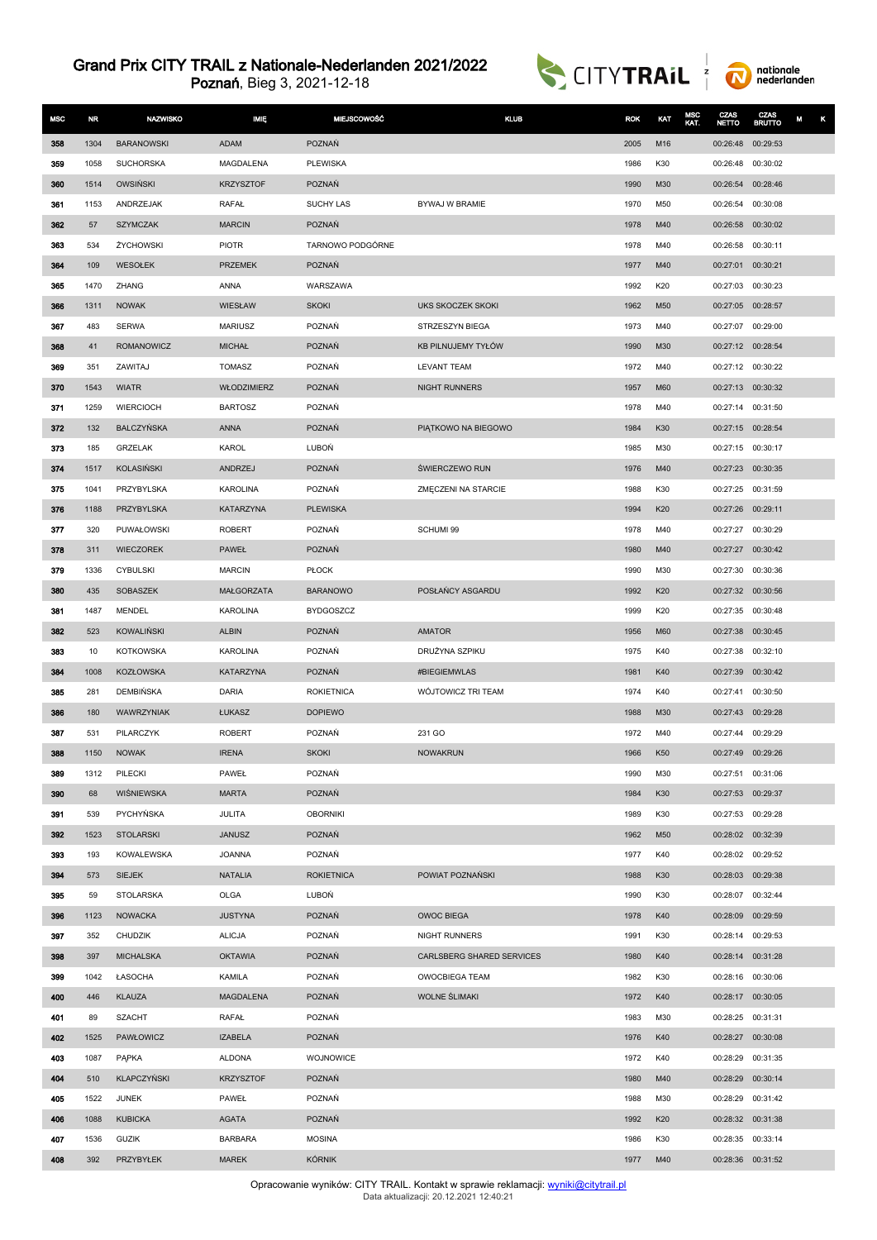



| <b>MSC</b> | <b>NR</b>  | <b>NAZWISKO</b>                | <b>IMIE</b>             | <b>MIEJSCOWOŚĆ</b>                 | <b>KLUB</b>               | <b>ROK</b>   | KAT        | MSC<br>KAT. | CZAS<br><b>NETTO</b> | CZAS<br><b>BRUTTO</b> | М<br>κ |
|------------|------------|--------------------------------|-------------------------|------------------------------------|---------------------------|--------------|------------|-------------|----------------------|-----------------------|--------|
| 358        | 1304       | <b>BARANOWSKI</b>              | ADAM                    | POZNAŃ                             |                           | 2005         | M16        |             | 00:26:48             | 00:29:53              |        |
| 359        | 1058       | <b>SUCHORSKA</b>               | MAGDALENA               | <b>PLEWISKA</b>                    |                           | 1986         | K30        |             | 00:26:48             | 00:30:02              |        |
| 360        | 1514       | <b>OWSIŃSKI</b>                | <b>KRZYSZTOF</b>        | POZNAŃ                             |                           | 1990         | M30        |             | 00:26:54             | 00:28:46              |        |
| 361        | 1153       | ANDRZEJAK                      | RAFAŁ                   | SUCHY LAS                          | BYWAJ W BRAMIE            | 1970         | M50        |             | 00:26:54             | 00:30:08              |        |
| 362        | 57         | <b>SZYMCZAK</b>                | <b>MARCIN</b>           | POZNAŃ                             |                           | 1978         | M40        |             | 00:26:58             | 00:30:02              |        |
| 363        | 534        | ŻYCHOWSKI                      | <b>PIOTR</b>            | TARNOWO PODGÓRNE                   |                           | 1978         | M40        |             | 00:26:58             | 00:30:11              |        |
| 364        | 109        | WESOŁEK                        | <b>PRZEMEK</b>          | <b>POZNAŃ</b>                      |                           | 1977         | M40        |             | 00:27:01             | 00:30:21              |        |
| 365        | 1470       | ZHANG                          | <b>ANNA</b>             | WARSZAWA                           |                           | 1992         | K20        |             | 00:27:03             | 00:30:23              |        |
| 366        | 1311       | <b>NOWAK</b>                   | WIESŁAW                 | <b>SKOKI</b>                       | UKS SKOCZEK SKOKI         | 1962         | M50        |             | 00:27:05 00:28:57    |                       |        |
| 367        | 483        | <b>SERWA</b>                   | <b>MARIUSZ</b>          | POZNAŃ                             | STRZESZYN BIEGA           | 1973         | M40        |             | 00:27:07             | 00:29:00              |        |
| 368        | 41         | <b>ROMANOWICZ</b>              | <b>MICHAŁ</b>           | POZNAŃ                             | KB PILNUJEMY TYŁÓW        | 1990         | M30        |             | 00:27:12 00:28:54    |                       |        |
| 369        | 351        | ZAWITAJ                        | <b>TOMASZ</b>           | POZNAŃ                             | <b>LEVANT TEAM</b>        | 1972         | M40        |             | 00:27:12 00:30:22    |                       |        |
| 370        | 1543       | <b>WIATR</b>                   | <b>WŁODZIMIERZ</b>      | POZNAŃ                             | NIGHT RUNNERS             | 1957         | M60        |             | 00:27:13 00:30:32    |                       |        |
| 371        | 1259       | <b>WIERCIOCH</b>               | <b>BARTOSZ</b>          | POZNAŃ                             |                           | 1978         | M40        |             | 00:27:14 00:31:50    |                       |        |
| 372        | 132        | <b>BALCZYŃSKA</b>              | <b>ANNA</b>             | POZNAŃ                             | PIATKOWO NA BIEGOWO       | 1984         | K30        |             | 00:27:15 00:28:54    |                       |        |
| 373        | 185        | GRZELAK                        | KAROL                   | LUBOŃ                              |                           | 1985         | M30        |             | 00:27:15 00:30:17    |                       |        |
| 374        | 1517       | <b>KOLASIŃSKI</b>              | ANDRZEJ                 | <b>POZNAŃ</b>                      | ŚWIERCZEWO RUN            | 1976         | M40        |             | 00:27:23             | 00:30:35              |        |
| 375        | 1041       | PRZYBYLSKA                     | <b>KAROLINA</b>         | POZNAŃ                             | ZMĘCZENI NA STARCIE       | 1988         | K30        |             | 00:27:25             | 00:31:59              |        |
| 376        | 1188       | PRZYBYLSKA                     | KATARZYNA               | <b>PLEWISKA</b>                    |                           | 1994         | K20        |             | 00:27:26 00:29:11    |                       |        |
| 377        | 320        | PUWAŁOWSKI                     | <b>ROBERT</b>           | POZNAŃ                             | SCHUMI 99                 | 1978         | M40        |             | 00:27:27             | 00:30:29              |        |
| 378        | 311        | WIECZOREK                      | PAWEŁ                   | POZNAŃ                             |                           | 1980         | M40        |             | 00:27:27             | 00:30:42              |        |
| 379        | 1336       | <b>CYBULSKI</b>                | <b>MARCIN</b>           | <b>PŁOCK</b>                       |                           | 1990         | M30        |             | 00:27:30             | 00:30:36              |        |
| 380        | 435        | SOBASZEK                       | MAŁGORZATA              | <b>BARANOWO</b>                    | POSŁAŃCY ASGARDU          | 1992         | K20        |             | 00:27:32 00:30:56    |                       |        |
| 381        | 1487       | MENDEL                         | <b>KAROLINA</b>         | <b>BYDGOSZCZ</b>                   |                           | 1999         | K20        |             | 00:27:35 00:30:48    |                       |        |
| 382        | 523        | KOWALIŃSKI                     | <b>ALBIN</b>            | POZNAŃ                             | <b>AMATOR</b>             | 1956         | M60        |             | 00:27:38             | 00:30:45              |        |
| 383        | 10         | <b>KOTKOWSKA</b>               | <b>KAROLINA</b>         | POZNAŃ                             | DRUŻYNA SZPIKU            | 1975         | K40        |             | 00:27:38             | 00:32:10              |        |
| 384        | 1008       | <b>KOZŁOWSKA</b>               | KATARZYNA               | <b>POZNAŃ</b><br><b>ROKIETNICA</b> | #BIEGIEMWLAS              | 1981         | K40        |             | 00:27:39             | 00:30:42<br>00:30:50  |        |
| 385        | 281        | <b>DEMBIŃSKA</b><br>WAWRZYNIAK | <b>DARIA</b>            |                                    | WÓJTOWICZ TRI TEAM        | 1974         | K40        |             | 00:27:41             |                       |        |
| 386<br>387 | 180<br>531 | PILARCZYK                      | ŁUKASZ<br><b>ROBERT</b> | <b>DOPIEWO</b><br>POZNAŃ           | 231 GO                    | 1988<br>1972 | M30<br>M40 |             | 00:27:43<br>00:27:44 | 00:29:28<br>00:29:29  |        |
| 388        | 1150       | <b>NOWAK</b>                   | <b>IRENA</b>            | <b>SKOKI</b>                       | <b>NOWAKRUN</b>           | 1966         | K50        |             | 00:27:49 00:29:26    |                       |        |
| 389        | 1312       | PILECKI                        | PAWEŁ                   | POZNAŃ                             |                           | 1990         | M30        |             | 00:27:51 00:31:06    |                       |        |
| 390        | 68         | WIŚNIEWSKA                     | <b>MARTA</b>            | POZNAŃ                             |                           | 1984         | K30        |             | 00:27:53 00:29:37    |                       |        |
| 391        | 539        | PYCHYŃSKA                      | JULITA                  | <b>OBORNIKI</b>                    |                           | 1989         | K30        |             | 00:27:53 00:29:28    |                       |        |
| 392        | 1523       | <b>STOLARSKI</b>               | <b>JANUSZ</b>           | POZNAŃ                             |                           | 1962         | M50        |             | 00:28:02 00:32:39    |                       |        |
| 393        | 193        | <b>KOWALEWSKA</b>              | <b>JOANNA</b>           | POZNAŃ                             |                           | 1977         | K40        |             | 00:28:02 00:29:52    |                       |        |
| 394        | 573        | <b>SIEJEK</b>                  | <b>NATALIA</b>          | <b>ROKIETNICA</b>                  | POWIAT POZNAŃSKI          | 1988         | K30        |             | 00:28:03 00:29:38    |                       |        |
| 395        | 59         | <b>STOLARSKA</b>               | OLGA                    | LUBOŃ                              |                           | 1990         | K30        |             | 00:28:07             | 00:32:44              |        |
| 396        | 1123       | <b>NOWACKA</b>                 | <b>JUSTYNA</b>          | POZNAŃ                             | <b>OWOC BIEGA</b>         | 1978         | K40        |             | 00:28:09 00:29:59    |                       |        |
| 397        | 352        | <b>CHUDZIK</b>                 | <b>ALICJA</b>           | POZNAŃ                             | NIGHT RUNNERS             | 1991         | K30        |             | 00:28:14 00:29:53    |                       |        |
| 398        | 397        | <b>MICHALSKA</b>               | <b>OKTAWIA</b>          | POZNAŃ                             | CARLSBERG SHARED SERVICES | 1980         | K40        |             | 00:28:14 00:31:28    |                       |        |
| 399        | 1042       | ŁASOCHA                        | KAMILA                  | POZNAŃ                             | <b>OWOCBIEGA TEAM</b>     | 1982         | K30        |             | 00:28:16 00:30:06    |                       |        |
| 400        | 446        | <b>KLAUZA</b>                  | <b>MAGDALENA</b>        | POZNAŃ                             | <b>WOLNE ŚLIMAKI</b>      | 1972         | K40        |             | 00:28:17 00:30:05    |                       |        |
| 401        | 89         | <b>SZACHT</b>                  | RAFAŁ                   | POZNAŃ                             |                           | 1983         | M30        |             | 00:28:25 00:31:31    |                       |        |
| 402        | 1525       | PAWŁOWICZ                      | <b>IZABELA</b>          | POZNAŃ                             |                           | 1976         | K40        |             | 00:28:27 00:30:08    |                       |        |
| 403        | 1087       | PAPKA                          | <b>ALDONA</b>           | WOJNOWICE                          |                           | 1972         | K40        |             | 00:28:29             | 00:31:35              |        |
| 404        | 510        | KLAPCZYŃSKI                    | <b>KRZYSZTOF</b>        | POZNAŃ                             |                           | 1980         | M40        |             | 00:28:29 00:30:14    |                       |        |
| 405        | 1522       | <b>JUNEK</b>                   | PAWEŁ                   | POZNAŃ                             |                           | 1988         | M30        |             | 00:28:29 00:31:42    |                       |        |
| 406        | 1088       | <b>KUBICKA</b>                 | <b>AGATA</b>            | POZNAŃ                             |                           | 1992         | K20        |             | 00:28:32 00:31:38    |                       |        |
| 407        | 1536       | <b>GUZIK</b>                   | <b>BARBARA</b>          | <b>MOSINA</b>                      |                           | 1986         | K30        |             | 00:28:35 00:33:14    |                       |        |
| 408        | 392        | PRZYBYŁEK                      | <b>MAREK</b>            | KÓRNIK                             |                           | 1977         | M40        |             | 00:28:36 00:31:52    |                       |        |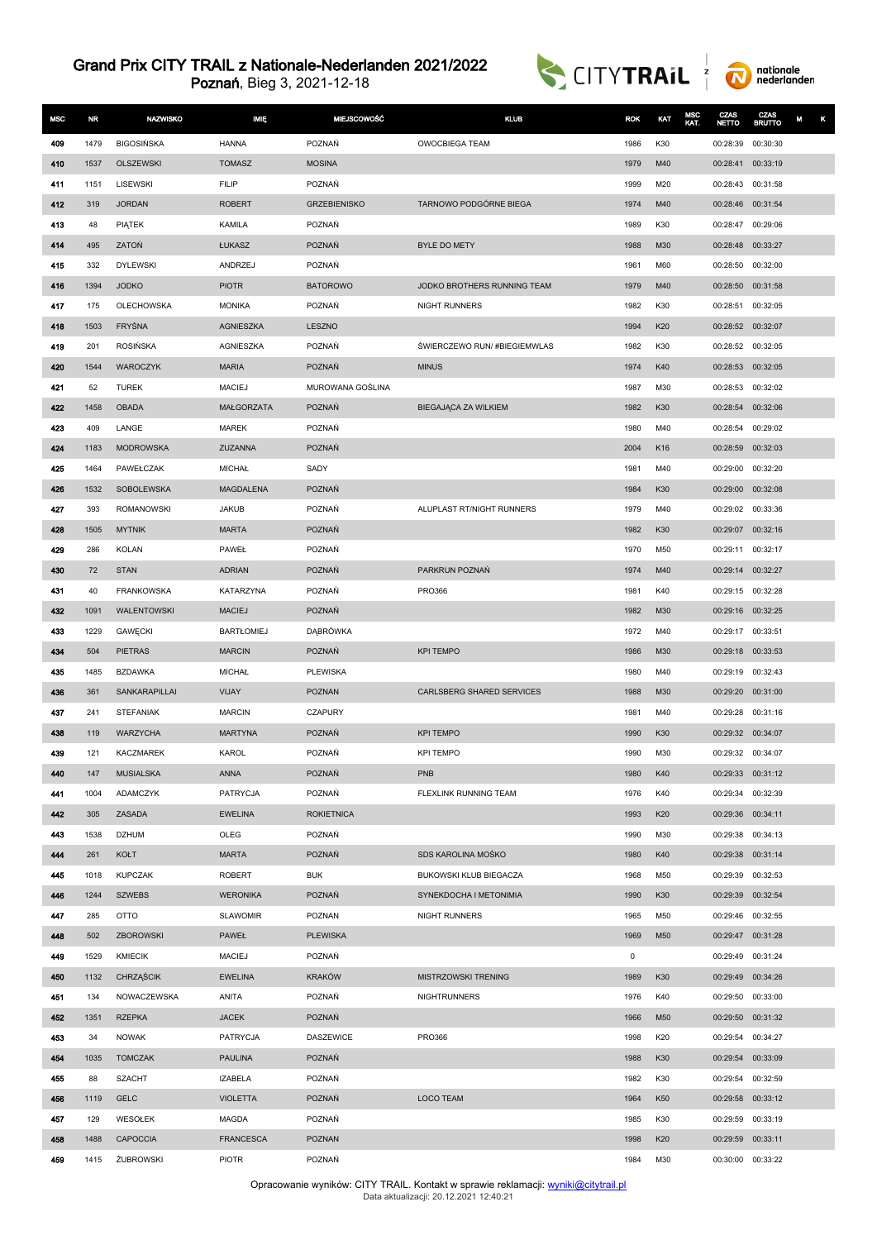



| <b>MSC</b> | <b>NR</b> | <b>NAZWISKO</b>                  | <b>MIĘ</b>                 | <b>MIEJSCOWOŚĆ</b>  | <b>KLUB</b>                     | <b>ROK</b>   | KAT        | MSC<br>KAT. | CZAS<br><b>NETTO</b>          | CZAS<br><b>BRUTTO</b> | κ<br>М |
|------------|-----------|----------------------------------|----------------------------|---------------------|---------------------------------|--------------|------------|-------------|-------------------------------|-----------------------|--------|
| 409        | 1479      | <b>BIGOSIŃSKA</b>                | <b>HANNA</b>               | POZNAŃ              | <b>OWOCBIEGA TEAM</b>           | 1986         | K30        |             | 00:28:39                      | 00:30:30              |        |
| 410        | 1537      | OLSZEWSKI                        | <b>TOMASZ</b>              | <b>MOSINA</b>       |                                 | 1979         | M40        |             | 00:28:41                      | 00:33:19              |        |
| 411        | 1151      | LISEWSKI                         | <b>FILIP</b>               | POZNAŃ              |                                 | 1999         | M20        |             | 00:28:43                      | 00:31:58              |        |
| 412        | 319       | <b>JORDAN</b>                    | <b>ROBERT</b>              | <b>GRZEBIENISKO</b> | TARNOWO PODGÓRNE BIEGA          | 1974         | M40        |             | 00:28:46 00:31:54             |                       |        |
| 413        | 48        | PIĄTEK                           | KAMILA                     | POZNAŃ              |                                 | 1989         | K30        |             | 00:28:47                      | 00:29:06              |        |
| 414        | 495       | ZATOŃ                            | ŁUKASZ                     | POZNAŃ              | <b>BYLE DO METY</b>             | 1988         | M30        |             | 00:28:48                      | 00:33:27              |        |
| 415        | 332       | <b>DYLEWSKI</b>                  | ANDRZEJ                    | POZNAŃ              |                                 | 1961         | M60        |             | 00:28:50                      | 00:32:00              |        |
| 416        | 1394      | <b>JODKO</b>                     | <b>PIOTR</b>               | <b>BATOROWO</b>     | JODKO BROTHERS RUNNING TEAM     | 1979         | M40        |             | 00:28:50                      | 00:31:58              |        |
| 417        | 175       | OLECHOWSKA                       | <b>MONIKA</b>              | POZNAŃ              | NIGHT RUNNERS                   | 1982         | K30        |             | 00:28:51                      | 00:32:05              |        |
| 418        | 1503      | FRYŚNA                           | <b>AGNIESZKA</b>           | LESZNO              |                                 | 1994         | K20        |             | 00:28:52 00:32:07             |                       |        |
| 419        | 201       | <b>ROSIŃSKA</b>                  | AGNIESZKA                  | POZNAŃ              | ŚWIERCZEWO RUN/#BIEGIEMWLAS     | 1982         | K30        |             | 00:28:52 00:32:05             |                       |        |
| 420        | 1544      | WAROCZYK                         | <b>MARIA</b>               | POZNAŃ              | <b>MINUS</b>                    | 1974         | K40        |             | 00:28:53                      | 00:32:05              |        |
| 421        | 52        | <b>TUREK</b>                     | <b>MACIEJ</b>              | MUROWANA GOŚLINA    |                                 | 1987         | M30        |             | 00:28:53                      | 00:32:02              |        |
| 422        | 1458      | <b>OBADA</b>                     | <b>MAŁGORZATA</b>          | POZNAŃ              | BIEGAJĄCA ZA WILKIEM            | 1982         | K30        |             | 00:28:54                      | 00:32:06              |        |
| 423        | 409       | LANGE                            | <b>MAREK</b>               | POZNAŃ              |                                 | 1980         | M40        |             | 00:28:54                      | 00:29:02              |        |
| 424        | 1183      | <b>MODROWSKA</b>                 | ZUZANNA                    | POZNAŃ              |                                 | 2004         | K16        |             | 00:28:59                      | 00:32:03              |        |
| 425        | 1464      | PAWEŁCZAK                        | <b>MICHAŁ</b>              | SADY                |                                 | 1981         | M40        |             | 00:29:00                      | 00:32:20              |        |
| 426        | 1532      | <b>SOBOLEWSKA</b>                | <b>MAGDALENA</b>           | POZNAŃ              |                                 | 1984         | K30        |             | 00:29:00                      | 00:32:08              |        |
| 427        | 393       | <b>ROMANOWSKI</b>                | <b>JAKUB</b>               | POZNAŃ              | ALUPLAST RT/NIGHT RUNNERS       | 1979         | M40        |             | 00:29:02 00:33:36             |                       |        |
| 428        | 1505      | <b>MYTNIK</b>                    | <b>MARTA</b>               | POZNAŃ              |                                 | 1982         | K30        |             | 00:29:07                      | 00:32:16              |        |
| 429        | 286       | <b>KOLAN</b>                     | PAWEŁ                      | POZNAŃ              |                                 | 1970         | M50        |             | 00:29:11                      | 00:32:17              |        |
| 430        | 72<br>40  | <b>STAN</b><br><b>FRANKOWSKA</b> | <b>ADRIAN</b><br>KATARZYNA | POZNAŃ<br>POZNAŃ    | PARKRUN POZNAŃ<br><b>PRO366</b> | 1974<br>1981 | M40<br>K40 |             | 00:29:14<br>00:29:15 00:32:28 | 00:32:27              |        |
| 431<br>432 | 1091      | <b>WALENTOWSKI</b>               | <b>MACIEJ</b>              | POZNAŃ              |                                 | 1982         | M30        |             | 00:29:16 00:32:25             |                       |        |
| 433        | 1229      | GAWĘCKI                          | <b>BARTŁOMIEJ</b>          | DĄBRÓWKA            |                                 | 1972         | M40        |             | 00:29:17                      | 00:33:51              |        |
| 434        | 504       | <b>PIETRAS</b>                   | <b>MARCIN</b>              | POZNAŃ              | <b>KPI TEMPO</b>                | 1986         | M30        |             | 00:29:18                      | 00:33:53              |        |
| 435        | 1485      | <b>BZDAWKA</b>                   | <b>MICHAŁ</b>              | <b>PLEWISKA</b>     |                                 | 1980         | M40        |             | 00:29:19                      | 00:32:43              |        |
| 436        | 361       | SANKARAPILLAI                    | <b>VIJAY</b>               | <b>POZNAN</b>       | CARLSBERG SHARED SERVICES       | 1988         | M30        |             | 00:29:20                      | 00:31:00              |        |
| 437        | 241       | <b>STEFANIAK</b>                 | <b>MARCIN</b>              | <b>CZAPURY</b>      |                                 | 1981         | M40        |             | 00:29:28                      | 00:31:16              |        |
| 438        | 119       | WARZYCHA                         | <b>MARTYNA</b>             | POZNAŃ              | <b>KPI TEMPO</b>                | 1990         | K30        |             | 00:29:32 00:34:07             |                       |        |
| 439        | 121       | <b>KACZMAREK</b>                 | <b>KAROL</b>               | POZNAŃ              | <b>KPI TEMPO</b>                | 1990         | M30        |             | 00:29:32 00:34:07             |                       |        |
| 440        | 147       | <b>MUSIALSKA</b>                 | <b>ANNA</b>                | POZNAŃ              | <b>PNB</b>                      | 1980         | K40        |             | 00:29:33 00:31:12             |                       |        |
| 441        | 1004      | <b>ADAMCZYK</b>                  | PATRYCJA                   | POZNAŃ              | FLEXLINK RUNNING TEAM           | 1976         | K40        |             | 00:29:34                      | 00:32:39              |        |
| 442        | 305       | ZASADA                           | <b>EWELINA</b>             | <b>ROKIETNICA</b>   |                                 | 1993         | K20        |             | 00:29:36 00:34:11             |                       |        |
| 443        | 1538      | <b>DZHUM</b>                     | OLEG                       | POZNAŃ              |                                 | 1990         | M30        |             | 00:29:38                      | 00:34:13              |        |
| 444        | 261       | KOŁT                             | <b>MARTA</b>               | POZNAŃ              | SDS KAROLINA MOŠKO              | 1980         | K40        |             | 00:29:38                      | 00:31:14              |        |
| 445        | 1018      | <b>KUPCZAK</b>                   | <b>ROBERT</b>              | <b>BUK</b>          | BUKOWSKI KLUB BIEGACZA          | 1968         | M50        |             | 00:29:39                      | 00:32:53              |        |
| 446        | 1244      | <b>SZWEBS</b>                    | <b>WERONIKA</b>            | POZNAŃ              | SYNEKDOCHA I METONIMIA          | 1990         | K30        |             | 00:29:39                      | 00:32:54              |        |
| 447        | 285       | OTTO                             | <b>SLAWOMIR</b>            | POZNAN              | NIGHT RUNNERS                   | 1965         | M50        |             | 00:29:46 00:32:55             |                       |        |
| 448        | 502       | ZBOROWSKI                        | PAWEŁ                      | <b>PLEWISKA</b>     |                                 | 1969         | M50        |             | 00:29:47 00:31:28             |                       |        |
| 449        | 1529      | <b>KMIECIK</b>                   | <b>MACIEJ</b>              | POZNAŃ              |                                 | 0            |            |             | 00:29:49 00:31:24             |                       |        |
| 450        | 1132      | <b>CHRZĄŚCIK</b>                 | <b>EWELINA</b>             | <b>KRAKÓW</b>       | MISTRZOWSKI TRENING             | 1989         | K30        |             | 00:29:49                      | 00:34:26              |        |
| 451        | 134       | NOWACZEWSKA                      | ANITA                      | POZNAŃ              | <b>NIGHTRUNNERS</b>             | 1976         | K40        |             | 00:29:50                      | 00:33:00              |        |
| 452        | 1351      | <b>RZEPKA</b>                    | <b>JACEK</b>               | POZNAŃ              |                                 | 1966         | M50        |             | 00:29:50 00:31:32             |                       |        |
| 453        | 34        | <b>NOWAK</b>                     | PATRYCJA                   | DASZEWICE           | PR0366                          | 1998         | K20        |             | 00:29:54                      | 00:34:27              |        |
| 454        | 1035      | <b>TOMCZAK</b>                   | <b>PAULINA</b>             | POZNAŃ              |                                 | 1988         | K30        |             | 00:29:54                      | 00:33:09              |        |
| 455        | 88        | <b>SZACHT</b>                    | <b>IZABELA</b>             | POZNAŃ              |                                 | 1982         | K30        |             | 00:29:54                      | 00:32:59              |        |
| 456        | 1119      | <b>GELC</b>                      | <b>VIOLETTA</b>            | POZNAŃ              | <b>LOCO TEAM</b>                | 1964         | K50        |             | 00:29:58                      | 00:33:12              |        |
| 457        | 129       | WESOŁEK                          | <b>MAGDA</b>               | POZNAŃ              |                                 | 1985         | K30        |             | 00:29:59                      | 00:33:19              |        |
| 458        | 1488      | <b>CAPOCCIA</b>                  | <b>FRANCESCA</b>           | POZNAN              |                                 | 1998         | K20        |             | 00:29:59                      | 00:33:11              |        |
| 459        | 1415      | ŻUBROWSKI                        | <b>PIOTR</b>               | POZNAŃ              |                                 | 1984         | M30        |             | 00:30:00 00:33:22             |                       |        |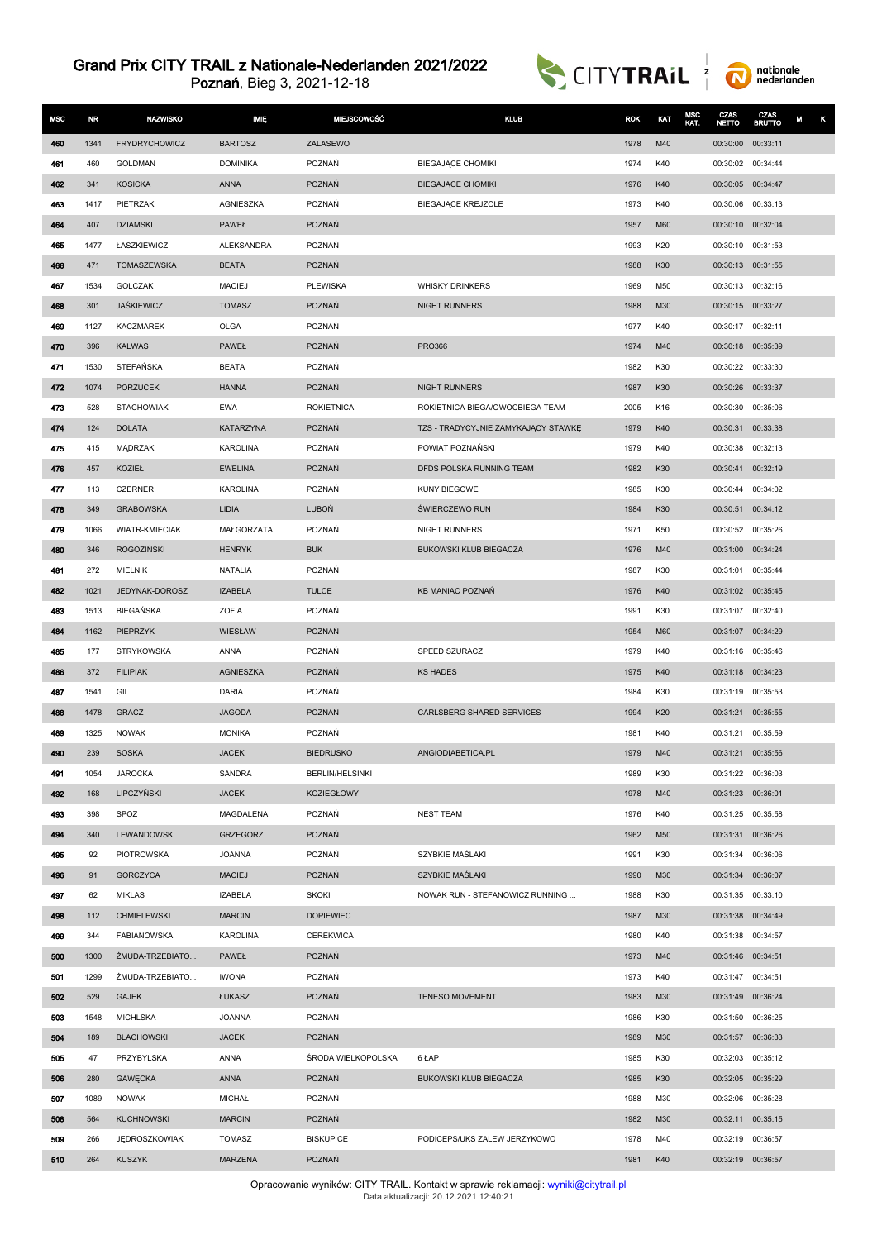



| <b>MSC</b> | <b>NR</b>  | <b>NAZWISKO</b>              | <b>MIĘ</b>             | <b>MIEJSCOWOŚĆ</b>          | <b>KLUB</b>                         | <b>ROK</b>   | KAT        | MSC<br>KAT. | CZAS<br><b>NETTO</b>                   | <b>CZAS</b><br>BRUTTO | M<br>κ |
|------------|------------|------------------------------|------------------------|-----------------------------|-------------------------------------|--------------|------------|-------------|----------------------------------------|-----------------------|--------|
| 460        | 1341       | <b>FRYDRYCHOWICZ</b>         | <b>BARTOSZ</b>         | ZALASEWO                    |                                     | 1978         | M40        |             | 00:30:00                               | 00:33:11              |        |
| 461        | 460        | <b>GOLDMAN</b>               | <b>DOMINIKA</b>        | POZNAŃ                      | BIEGAJĄCE CHOMIKI                   | 1974         | K40        |             | 00:30:02 00:34:44                      |                       |        |
| 462        | 341        | <b>KOSICKA</b>               | <b>ANNA</b>            | POZNAŃ                      | <b>BIEGAJĄCE CHOMIKI</b>            | 1976         | K40        |             | 00:30:05                               | 00:34:47              |        |
| 463        | 1417       | PIETRZAK                     | AGNIESZKA              | POZNAŃ                      | BIEGAJĄCE KREJZOLE                  | 1973         | K40        |             | 00:30:06                               | 00:33:13              |        |
| 464        | 407        | <b>DZIAMSKI</b>              | <b>PAWEŁ</b>           | <b>POZNAŃ</b>               |                                     | 1957         | M60        |             | 00:30:10                               | 00:32:04              |        |
| 465        | 1477       | ŁASZKIEWICZ                  | <b>ALEKSANDRA</b>      | POZNAŃ                      |                                     | 1993         | K20        |             | 00:30:10                               | 00:31:53              |        |
| 466        | 471        | TOMASZEWSKA                  | <b>BEATA</b>           | POZNAŃ                      |                                     | 1988         | K30        |             | 00:30:13 00:31:55                      |                       |        |
| 467        | 1534       | GOLCZAK                      | <b>MACIEJ</b>          | <b>PLEWISKA</b>             | <b>WHISKY DRINKERS</b>              | 1969         | M50        |             | 00:30:13                               | 00:32:16              |        |
| 468        | 301        | <b>JASKIEWICZ</b>            | <b>TOMASZ</b>          | <b>POZNAŃ</b>               | <b>NIGHT RUNNERS</b>                | 1988         | M30        |             | 00:30:15                               | 00:33:27              |        |
| 469        | 1127       | <b>KACZMAREK</b>             | <b>OLGA</b>            | POZNAŃ                      |                                     | 1977         | K40        |             | 00:30:17 00:32:11                      |                       |        |
| 470        | 396        | <b>KALWAS</b>                | PAWEŁ                  | POZNAŃ                      | <b>PRO366</b>                       | 1974         | M40        |             | 00:30:18                               | 00:35:39              |        |
| 471        | 1530       | STEFAŃSKA                    | <b>BEATA</b>           | POZNAŃ                      |                                     | 1982         | K30        |             | 00:30:22 00:33:30                      |                       |        |
| 472        | 1074       | <b>PORZUCEK</b>              | <b>HANNA</b>           | POZNAŃ                      | NIGHT RUNNERS                       | 1987         | K30        |             | 00:30:26                               | 00:33:37              |        |
| 473        | 528        | <b>STACHOWIAK</b>            | <b>EWA</b>             | <b>ROKIETNICA</b>           | ROKIETNICA BIEGA/OWOCBIEGA TEAM     | 2005         | K16        |             | 00:30:30                               | 00:35:06              |        |
| 474        | 124        | <b>DOLATA</b>                | <b>KATARZYNA</b>       | POZNAŃ                      | TZS - TRADYCYJNIE ZAMYKAJĄCY STAWKĘ | 1979         | K40        |             | 00:30:31                               | 00:33:38              |        |
| 475        | 415        | MADRZAK                      | <b>KAROLINA</b>        | POZNAŃ                      | POWIAT POZNAŃSKI                    | 1979         | K40        |             | 00:30:38                               | 00:32:13              |        |
| 476        | 457        | KOZIEŁ                       | <b>EWELINA</b>         | POZNAŃ                      | DFDS POLSKA RUNNING TEAM            | 1982         | K30        |             | 00:30:41                               | 00:32:19              |        |
| 477        | 113        | <b>CZERNER</b>               | KAROLINA               | POZNAŃ                      | KUNY BIEGOWE                        | 1985         | K30        |             | 00:30:44                               | 00:34:02              |        |
| 478        | 349        | <b>GRABOWSKA</b>             | LIDIA                  | <b>LUBON</b>                | ŚWIERCZEWO RUN                      | 1984         | K30        |             | 00:30:51                               | 00:34:12              |        |
| 479        | 1066       | <b>WIATR-KMIECIAK</b>        | MAŁGORZATA             | POZNAŃ                      | NIGHT RUNNERS                       | 1971         | K50        |             | 00:30:52                               | 00:35:26              |        |
| 480        | 346        | <b>ROGOZIŃSKI</b>            | <b>HENRYK</b>          | <b>BUK</b>                  | BUKOWSKI KLUB BIEGACZA              | 1976         | M40        |             | 00:31:00                               | 00:34:24              |        |
| 481        | 272        | <b>MIELNIK</b>               | <b>NATALIA</b>         | POZNAŃ                      |                                     | 1987         | K30        |             | 00:31:01                               | 00:35:44              |        |
| 482        | 1021       | JEDYNAK-DOROSZ               | <b>IZABELA</b>         | <b>TULCE</b>                | <b>KB MANIAC POZNAŃ</b>             | 1976         | K40        |             | 00:31:02 00:35:45                      |                       |        |
| 483        | 1513       | <b>BIEGAŃSKA</b>             | <b>ZOFIA</b>           | POZNAŃ                      |                                     | 1991         | K30        |             | 00:31:07                               | 00:32:40              |        |
| 484        | 1162       | <b>PIEPRZYK</b>              | <b>WIESŁAW</b>         | POZNAŃ                      |                                     | 1954         | M60        |             | 00:31:07                               | 00:34:29              |        |
| 485        | 177        | <b>STRYKOWSKA</b>            | ANNA                   | POZNAŃ                      | SPEED SZURACZ                       | 1979         | K40        |             | 00:31:16                               | 00:35:46              |        |
| 486        | 372        | <b>FILIPIAK</b>              | <b>AGNIESZKA</b>       | POZNAŃ                      | <b>KS HADES</b>                     | 1975         | K40        |             | 00:31:18 00:34:23                      |                       |        |
| 487        | 1541       | GIL                          | DARIA                  | POZNAŃ                      |                                     | 1984         | K30        |             | 00:31:19                               | 00:35:53              |        |
| 488        | 1478       | <b>GRACZ</b>                 | <b>JAGODA</b>          | <b>POZNAN</b>               | CARLSBERG SHARED SERVICES           | 1994         | K20        |             | 00:31:21                               | 00:35:55              |        |
| 489        | 1325       | <b>NOWAK</b>                 | <b>MONIKA</b>          | POZNAŃ                      |                                     | 1981         | K40        |             | 00:31:21                               | 00:35:59              |        |
| 490        | 239        | <b>SOSKA</b>                 | <b>JACEK</b>           | <b>BIEDRUSKO</b>            | ANGIODIABETICA.PL                   | 1979         | M40        |             | 00:31:21                               | 00:35:56              |        |
| 491        | 1054       | <b>JAROCKA</b><br>LIPCZYŃSKI | SANDRA<br><b>JACEK</b> | <b>BERLIN/HELSINKI</b>      |                                     | 1989         | K30        |             | 00:31:22 00:36:03                      |                       |        |
| 492<br>493 | 168<br>398 | SPOZ                         | MAGDALENA              | <b>KOZIEGŁOWY</b><br>POZNAŃ | <b>NEST TEAM</b>                    | 1978<br>1976 | M40<br>K40 |             | 00:31:23 00:36:01<br>00:31:25 00:35:58 |                       |        |
| 494        | 340        | LEWANDOWSKI                  | <b>GRZEGORZ</b>        | POZNAŃ                      |                                     | 1962         | M50        |             | 00:31:31 00:36:26                      |                       |        |
| 495        | 92         | PIOTROWSKA                   | <b>JOANNA</b>          | POZNAŃ                      | SZYBKIE MAŚLAKI                     | 1991         | K30        |             | 00:31:34 00:36:06                      |                       |        |
| 496        | 91         | <b>GORCZYCA</b>              | <b>MACIEJ</b>          | POZNAŃ                      | SZYBKIE MAŚLAKI                     | 1990         | M30        |             | 00:31:34 00:36:07                      |                       |        |
| 497        | 62         | <b>MIKLAS</b>                | <b>IZABELA</b>         | <b>SKOKI</b>                | NOWAK RUN - STEFANOWICZ RUNNING     | 1988         | K30        |             | 00:31:35 00:33:10                      |                       |        |
| 498        | 112        | <b>CHMIELEWSKI</b>           | <b>MARCIN</b>          | <b>DOPIEWIEC</b>            |                                     | 1987         | M30        |             | 00:31:38 00:34:49                      |                       |        |
| 499        | 344        | <b>FABIANOWSKA</b>           | KAROLINA               | <b>CEREKWICA</b>            |                                     | 1980         | K40        |             | 00:31:38 00:34:57                      |                       |        |
| 500        | 1300       | ŻMUDA-TRZEBIATO              | PAWEŁ                  | POZNAŃ                      |                                     | 1973         | M40        |             | 00:31:46 00:34:51                      |                       |        |
| 501        | 1299       | ŻMUDA-TRZEBIATO              | <b>IWONA</b>           | POZNAŃ                      |                                     | 1973         | K40        |             | 00:31:47 00:34:51                      |                       |        |
| 502        | 529        | <b>GAJEK</b>                 | ŁUKASZ                 | POZNAŃ                      | <b>TENESO MOVEMENT</b>              | 1983         | M30        |             | 00:31:49 00:36:24                      |                       |        |
| 503        | 1548       | <b>MICHLSKA</b>              | <b>JOANNA</b>          | POZNAŃ                      |                                     | 1986         | K30        |             | 00:31:50 00:36:25                      |                       |        |
| 504        | 189        | <b>BLACHOWSKI</b>            | <b>JACEK</b>           | <b>POZNAN</b>               |                                     | 1989         | M30        |             | 00:31:57 00:36:33                      |                       |        |
| 505        | 47         | PRZYBYLSKA                   | ANNA                   | ŚRODA WIELKOPOLSKA          | 6 ŁAP                               | 1985         | K30        |             | 00:32:03 00:35:12                      |                       |        |
| 506        | 280        | <b>GAWECKA</b>               | <b>ANNA</b>            | POZNAŃ                      | BUKOWSKI KLUB BIEGACZA              | 1985         | K30        |             | 00:32:05 00:35:29                      |                       |        |
| 507        | 1089       | <b>NOWAK</b>                 | <b>MICHAŁ</b>          | POZNAŃ                      |                                     | 1988         | M30        |             | 00:32:06                               | 00:35:28              |        |
| 508        | 564        | <b>KUCHNOWSKI</b>            | <b>MARCIN</b>          | <b>POZNAŃ</b>               |                                     | 1982         | M30        |             | 00:32:11                               | 00:35:15              |        |
| 509        | 266        | <b>JEDROSZKOWIAK</b>         | <b>TOMASZ</b>          | <b>BISKUPICE</b>            | PODICEPS/UKS ZALEW JERZYKOWO        | 1978         | M40        |             | 00:32:19 00:36:57                      |                       |        |
| 510        | 264        | <b>KUSZYK</b>                | <b>MARZENA</b>         | POZNAŃ                      |                                     | 1981         | K40        |             | 00:32:19 00:36:57                      |                       |        |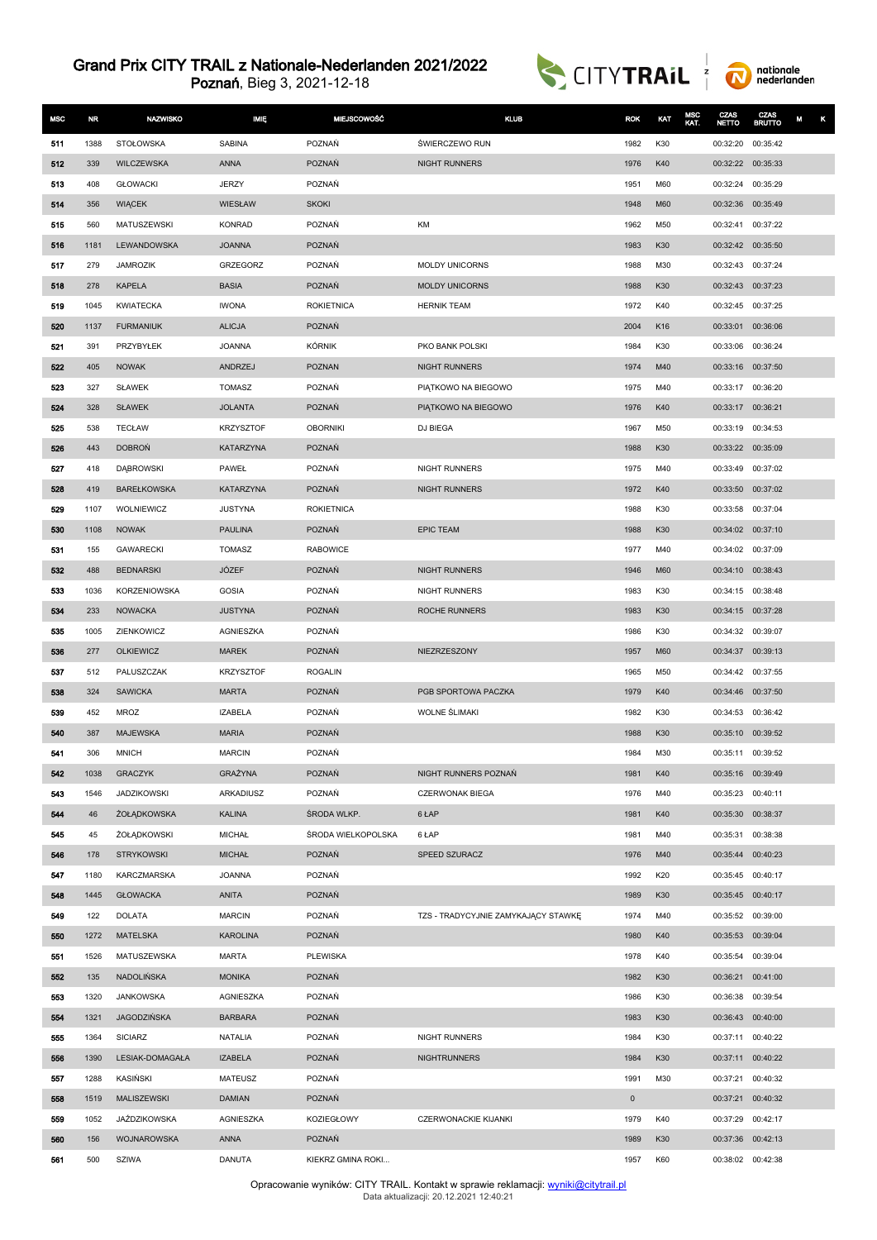



| <b>MSC</b> | <b>NR</b> | <b>NAZWISKO</b>     | <b>IMIĘ</b>      | <b>MIEJSCOWOŚĆ</b> | <b>KLUB</b>                         | <b>ROK</b>   | KAT | MSC<br>KAT. | <b>CZAS</b><br>NETTO | CZAS<br><b>BRUTTO</b> | M |
|------------|-----------|---------------------|------------------|--------------------|-------------------------------------|--------------|-----|-------------|----------------------|-----------------------|---|
| 511        | 1388      | STOŁOWSKA           | <b>SABINA</b>    | POZNAŃ             | ŚWIERCZEWO RUN                      | 1982         | K30 |             | 00:32:20             | 00:35:42              |   |
| 512        | 339       | WILCZEWSKA          | <b>ANNA</b>      | <b>POZNAŃ</b>      | <b>NIGHT RUNNERS</b>                | 1976         | K40 |             | 00:32:22 00:35:33    |                       |   |
| 513        | 408       | <b>GŁOWACKI</b>     | <b>JERZY</b>     | POZNAŃ             |                                     | 1951         | M60 |             | 00:32:24             | 00:35:29              |   |
| 514        | 356       | <b>WIACEK</b>       | WIESŁAW          | <b>SKOKI</b>       |                                     | 1948         | M60 |             | 00:32:36             | 00:35:49              |   |
| 515        | 560       | MATUSZEWSKI         | <b>KONRAD</b>    | POZNAŃ             | KM                                  | 1962         | M50 |             | 00:32:41             | 00:37:22              |   |
| 516        | 1181      | LEWANDOWSKA         | <b>JOANNA</b>    | <b>POZNAŃ</b>      |                                     | 1983         | K30 |             | 00:32:42             | 00:35:50              |   |
| 517        | 279       | <b>JAMROZIK</b>     | GRZEGORZ         | POZNAŃ             | <b>MOLDY UNICORNS</b>               | 1988         | M30 |             | 00:32:43 00:37:24    |                       |   |
| 518        | 278       | <b>KAPELA</b>       | <b>BASIA</b>     | POZNAŃ             | <b>MOLDY UNICORNS</b>               | 1988         | K30 |             | 00:32:43             | 00:37:23              |   |
| 519        | 1045      | <b>KWIATECKA</b>    | <b>IWONA</b>     | <b>ROKIETNICA</b>  | <b>HERNIK TEAM</b>                  | 1972         | K40 |             |                      | 00:32:45 00:37:25     |   |
| 520        | 1137      | <b>FURMANIUK</b>    | <b>ALICJA</b>    | POZNAŃ             |                                     | 2004         | K16 |             | 00:33:01             | 00:36:06              |   |
| 521        | 391       | PRZYBYŁEK           | <b>JOANNA</b>    | KÓRNIK             | PKO BANK POLSKI                     | 1984         | K30 |             | 00:33:06             | 00:36:24              |   |
| 522        | 405       | <b>NOWAK</b>        | ANDRZEJ          | <b>POZNAN</b>      | <b>NIGHT RUNNERS</b>                | 1974         | M40 |             | 00:33:16 00:37:50    |                       |   |
| 523        | 327       | <b>SŁAWEK</b>       | <b>TOMASZ</b>    | POZNAŃ             | PIATKOWO NA BIEGOWO                 | 1975         | M40 |             | 00:33:17 00:36:20    |                       |   |
| 524        | 328       | <b>SŁAWEK</b>       | <b>JOLANTA</b>   | POZNAŃ             | PIATKOWO NA BIEGOWO                 | 1976         | K40 |             | 00:33:17             | 00:36:21              |   |
| 525        | 538       | <b>TECŁAW</b>       | <b>KRZYSZTOF</b> | <b>OBORNIKI</b>    | DJ BIEGA                            | 1967         | M50 |             | 00:33:19             | 00:34:53              |   |
| 526        | 443       | <b>DOBRON</b>       | KATARZYNA        | <b>POZNAŃ</b>      |                                     | 1988         | K30 |             | 00:33:22 00:35:09    |                       |   |
| 527        | 418       | <b>DABROWSKI</b>    | PAWEŁ            | POZNAŃ             | <b>NIGHT RUNNERS</b>                | 1975         | M40 |             |                      | 00:33:49 00:37:02     |   |
| 528        | 419       | BAREŁKOWSKA         | KATARZYNA        | POZNAŃ             | NIGHT RUNNERS                       | 1972         | K40 |             | 00:33:50             | 00:37:02              |   |
| 529        | 1107      | WOLNIEWICZ          | <b>JUSTYNA</b>   | <b>ROKIETNICA</b>  |                                     | 1988         | K30 |             | 00:33:58             | 00:37:04              |   |
| 530        | 1108      | <b>NOWAK</b>        | <b>PAULINA</b>   | <b>POZNAŃ</b>      | <b>EPIC TEAM</b>                    | 1988         | K30 |             | 00:34:02 00:37:10    |                       |   |
| 531        | 155       | <b>GAWARECKI</b>    | <b>TOMASZ</b>    | <b>RABOWICE</b>    |                                     | 1977         | M40 |             | 00:34:02             | 00:37:09              |   |
| 532        | 488       | <b>BEDNARSKI</b>    | JÓZEF            | <b>POZNAŃ</b>      | <b>NIGHT RUNNERS</b>                | 1946         | M60 |             | 00:34:10 00:38:43    |                       |   |
| 533        | 1036      | <b>KORZENIOWSKA</b> | <b>GOSIA</b>     | POZNAŃ             | NIGHT RUNNERS                       | 1983         | K30 |             |                      | 00:34:15 00:38:48     |   |
| 534        | 233       | <b>NOWACKA</b>      | <b>JUSTYNA</b>   | POZNAŃ             | ROCHE RUNNERS                       | 1983         | K30 |             | 00:34:15 00:37:28    |                       |   |
| 535        | 1005      | ZIENKOWICZ          | <b>AGNIESZKA</b> | POZNAŃ             |                                     | 1986         | K30 |             | 00:34:32             | 00:39:07              |   |
| 536        | 277       | <b>OLKIEWICZ</b>    | <b>MAREK</b>     | <b>POZNAŃ</b>      | NIEZRZESZONY                        | 1957         | M60 |             | 00:34:37 00:39:13    |                       |   |
| 537        | 512       | PALUSZCZAK          | <b>KRZYSZTOF</b> | <b>ROGALIN</b>     |                                     | 1965         | M50 |             |                      | 00:34:42 00:37:55     |   |
| 538        | 324       | <b>SAWICKA</b>      | <b>MARTA</b>     | POZNAŃ             | PGB SPORTOWA PACZKA                 | 1979         | K40 |             | 00:34:46             | 00:37:50              |   |
| 539        | 452       | MROZ                | <b>IZABELA</b>   | POZNAŃ             | <b>WOLNE SLIMAKI</b>                | 1982         | K30 |             |                      | 00:34:53 00:36:42     |   |
| 540        | 387       | <b>MAJEWSKA</b>     | <b>MARIA</b>     | POZNAŃ             |                                     | 1988         | K30 |             | 00:35:10 00:39:52    |                       |   |
| 541        | 306       | <b>MNICH</b>        | <b>MARCIN</b>    | POZNAŃ             |                                     | 1984         | M30 |             | 00:35:11             | 00:39:52              |   |
| 542        | 1038      | <b>GRACZYK</b>      | GRAŻYNA          | POZNAŃ             | NIGHT RUNNERS POZNAŃ                | 1981         | K40 |             | 00:35:16 00:39:49    |                       |   |
| 543        | 1546      | <b>JADZIKOWSKI</b>  | ARKADIUSZ        | POZNAŃ             | <b>CZERWONAK BIEGA</b>              | 1976         | M40 |             | 00:35:23 00:40:11    |                       |   |
| 544        | 46        | ŻOŁĄDKOWSKA         | <b>KALINA</b>    | ŚRODA WLKP.        | 6 ŁAP                               | 1981         | K40 |             | 00:35:30             | 00:38:37              |   |
| 545        | 45        | ŻOŁADKOWSKI         | <b>MICHAŁ</b>    | ŠRODA WIELKOPOLSKA | 6 ŁAP                               | 1981         | M40 |             | 00:35:31             | 00:38:38              |   |
| 546        | 178       | <b>STRYKOWSKI</b>   | <b>MICHAŁ</b>    | POZNAŃ             | SPEED SZURACZ                       | 1976         | M40 |             |                      | 00:35:44 00:40:23     |   |
| 547        | 1180      | KARCZMARSKA         | <b>JOANNA</b>    | POZNAŃ             |                                     | 1992         | K20 |             | 00:35:45 00:40:17    |                       |   |
| 548        | 1445      | <b>GŁOWACKA</b>     | ANITA            | POZNAŃ             |                                     | 1989         | K30 |             |                      | 00:35:45 00:40:17     |   |
| 549        | 122       | <b>DOLATA</b>       | <b>MARCIN</b>    | POZNAŃ             | TZS - TRADYCYJNIE ZAMYKAJĄCY STAWKĘ | 1974         | M40 |             |                      | 00:35:52 00:39:00     |   |
| 550        | 1272      | <b>MATELSKA</b>     | <b>KAROLINA</b>  | POZNAŃ             |                                     | 1980         | K40 |             | 00:35:53 00:39:04    |                       |   |
| 551        | 1526      | MATUSZEWSKA         | <b>MARTA</b>     | PLEWISKA           |                                     | 1978         | K40 |             | 00:35:54             | 00:39:04              |   |
| 552        | 135       | NADOLIŃSKA          | <b>MONIKA</b>    | POZNAŃ             |                                     | 1982         | K30 |             |                      | 00:36:21 00:41:00     |   |
| 553        | 1320      | <b>JANKOWSKA</b>    | AGNIESZKA        | POZNAŃ             |                                     | 1986         | K30 |             | 00:36:38             | 00:39:54              |   |
| 554        | 1321      | JAGODZIŃSKA         | <b>BARBARA</b>   | POZNAŃ             |                                     | 1983         | K30 |             |                      | 00:36:43 00:40:00     |   |
| 555        | 1364      | <b>SICIARZ</b>      | <b>NATALIA</b>   | POZNAŃ             | NIGHT RUNNERS                       | 1984         | K30 |             |                      | 00:37:11 00:40:22     |   |
| 556        | 1390      | LESIAK-DOMAGAŁA     | <b>IZABELA</b>   | POZNAŃ             | <b>NIGHTRUNNERS</b>                 | 1984         | K30 |             |                      | 00:37:11 00:40:22     |   |
| 557        | 1288      | KASIŃSKI            | MATEUSZ          | POZNAŃ             |                                     | 1991         | M30 |             |                      | 00:37:21 00:40:32     |   |
| 558        | 1519      | MALISZEWSKI         | <b>DAMIAN</b>    | POZNAŃ             |                                     | $\mathsf{O}$ |     |             |                      | 00:37:21 00:40:32     |   |
| 559        | 1052      | JAŻDZIKOWSKA        | AGNIESZKA        | <b>KOZIEGŁOWY</b>  | CZERWONACKIE KIJANKI                | 1979         | K40 |             | 00:37:29 00:42:17    |                       |   |
| 560        | 156       | WOJNAROWSKA         | ANNA             | POZNAŃ             |                                     | 1989         | K30 |             |                      | 00:37:36 00:42:13     |   |
| 561        | 500       | SZIWA               | DANUTA           | KIEKRZ GMINA ROKI  |                                     | 1957         | K60 |             | 00:38:02 00:42:38    |                       |   |